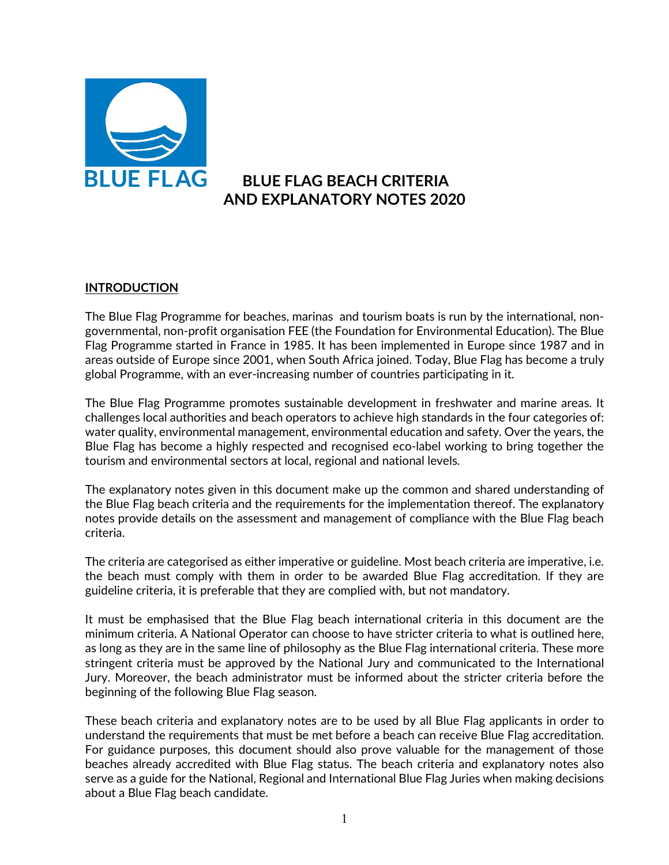

# **BLUE FLAG BEACH CRITERIA AND EXPLANATORY NOTES 2020**

## **INTRODUCTION**

The Blue Flag Programme for beaches, marinas and tourism boats is run by the international, nongovernmental, non-profit organisation FEE (the Foundation for Environmental Education). The Blue Flag Programme started in France in 1985. It has been implemented in Europe since 1987 and in areas outside of Europe since 2001, when South Africa joined. Today, Blue Flag has become a truly global Programme, with an ever-increasing number of countries participating in it.

The Blue Flag Programme promotes sustainable development in freshwater and marine areas. It challenges local authorities and beach operators to achieve high standards in the four categories of: water quality, environmental management, environmental education and safety. Over the years, the Blue Flag has become a highly respected and recognised eco-label working to bring together the tourism and environmental sectors at local, regional and national levels.

The explanatory notes given in this document make up the common and shared understanding of the Blue Flag beach criteria and the requirements for the implementation thereof. The explanatory notes provide details on the assessment and management of compliance with the Blue Flag beach criteria.

The criteria are categorised as either imperative or guideline. Most beach criteria are imperative, i.e. the beach must comply with them in order to be awarded Blue Flag accreditation. If they are guideline criteria, it is preferable that they are complied with, but not mandatory.

It must be emphasised that the Blue Flag beach international criteria in this document are the minimum criteria. A National Operator can choose to have stricter criteria to what is outlined here, as long as they are in the same line of philosophy as the Blue Flag international criteria. These more stringent criteria must be approved by the National Jury and communicated to the International Jury. Moreover, the beach administrator must be informed about the stricter criteria before the beginning of the following Blue Flag season.

These beach criteria and explanatory notes are to be used by all Blue Flag applicants in order to understand the requirements that must be met before a beach can receive Blue Flag accreditation. For guidance purposes, this document should also prove valuable for the management of those beaches already accredited with Blue Flag status. The beach criteria and explanatory notes also serve as a guide for the National, Regional and International Blue Flag Juries when making decisions about a Blue Flag beach candidate.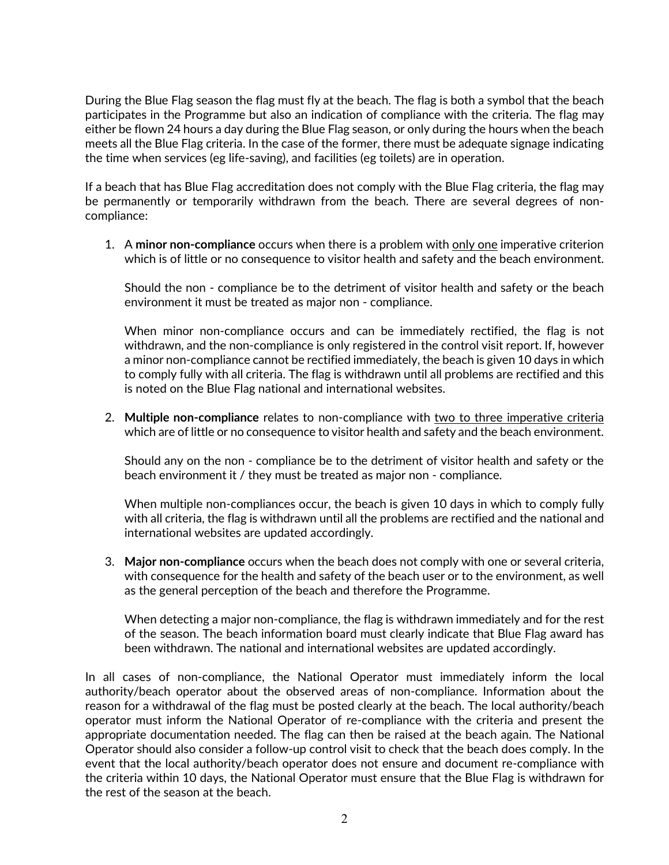During the Blue Flag season the flag must fly at the beach. The flag is both a symbol that the beach participates in the Programme but also an indication of compliance with the criteria. The flag may either be flown 24 hours a day during the Blue Flag season, or only during the hours when the beach meets all the Blue Flag criteria. In the case of the former, there must be adequate signage indicating the time when services (eg life-saving), and facilities (eg toilets) are in operation.

If a beach that has Blue Flag accreditation does not comply with the Blue Flag criteria, the flag may be permanently or temporarily withdrawn from the beach. There are several degrees of noncompliance:

1. A **minor non-compliance** occurs when there is a problem with only one imperative criterion which is of little or no consequence to visitor health and safety and the beach environment.

Should the non - compliance be to the detriment of visitor health and safety or the beach environment it must be treated as major non - compliance.

When minor non-compliance occurs and can be immediately rectified, the flag is not withdrawn, and the non-compliance is only registered in the control visit report. If, however a minor non-compliance cannot be rectified immediately, the beach is given 10 days in which to comply fully with all criteria. The flag is withdrawn until all problems are rectified and this is noted on the Blue Flag national and international websites.

2. **Multiple non-compliance** relates to non-compliance with two to three imperative criteria which are of little or no consequence to visitor health and safety and the beach environment.

Should any on the non - compliance be to the detriment of visitor health and safety or the beach environment it / they must be treated as major non - compliance.

When multiple non-compliances occur, the beach is given 10 days in which to comply fully with all criteria, the flag is withdrawn until all the problems are rectified and the national and international websites are updated accordingly.

3. **Major non-compliance** occurs when the beach does not comply with one or several criteria, with consequence for the health and safety of the beach user or to the environment, as well as the general perception of the beach and therefore the Programme.

When detecting a major non-compliance, the flag is withdrawn immediately and for the rest of the season. The beach information board must clearly indicate that Blue Flag award has been withdrawn. The national and international websites are updated accordingly.

In all cases of non-compliance, the National Operator must immediately inform the local authority/beach operator about the observed areas of non-compliance. Information about the reason for a withdrawal of the flag must be posted clearly at the beach. The local authority/beach operator must inform the National Operator of re-compliance with the criteria and present the appropriate documentation needed. The flag can then be raised at the beach again. The National Operator should also consider a follow-up control visit to check that the beach does comply. In the event that the local authority/beach operator does not ensure and document re-compliance with the criteria within 10 days, the National Operator must ensure that the Blue Flag is withdrawn for the rest of the season at the beach.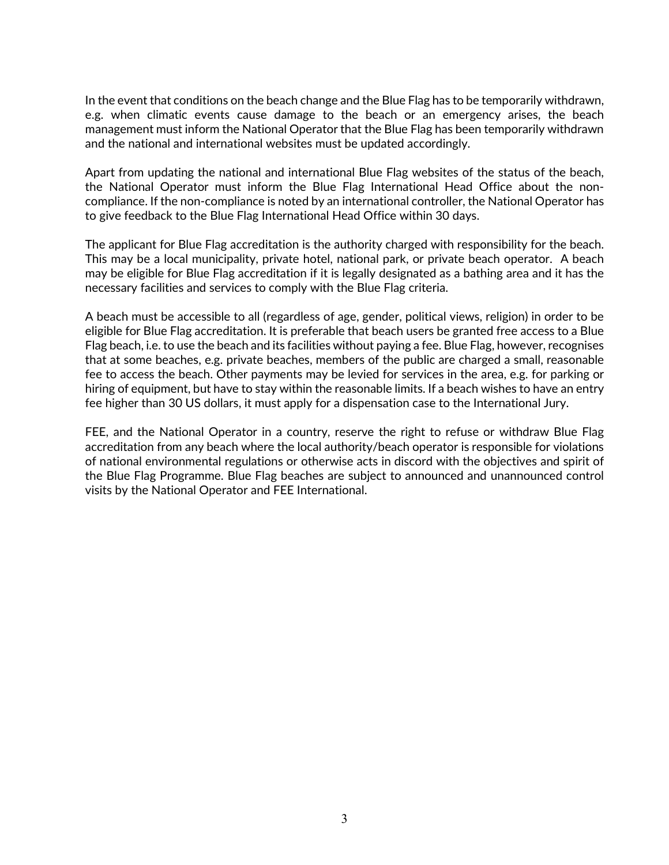In the event that conditions on the beach change and the Blue Flag has to be temporarily withdrawn, e.g. when climatic events cause damage to the beach or an emergency arises, the beach management must inform the National Operator that the Blue Flag has been temporarily withdrawn and the national and international websites must be updated accordingly.

Apart from updating the national and international Blue Flag websites of the status of the beach, the National Operator must inform the Blue Flag International Head Office about the noncompliance. If the non-compliance is noted by an international controller, the National Operator has to give feedback to the Blue Flag International Head Office within 30 days.

The applicant for Blue Flag accreditation is the authority charged with responsibility for the beach. This may be a local municipality, private hotel, national park, or private beach operator. A beach may be eligible for Blue Flag accreditation if it is legally designated as a bathing area and it has the necessary facilities and services to comply with the Blue Flag criteria.

A beach must be accessible to all (regardless of age, gender, political views, religion) in order to be eligible for Blue Flag accreditation. It is preferable that beach users be granted free access to a Blue Flag beach, i.e. to use the beach and its facilities without paying a fee. Blue Flag, however, recognises that at some beaches, e.g. private beaches, members of the public are charged a small, reasonable fee to access the beach. Other payments may be levied for services in the area, e.g. for parking or hiring of equipment, but have to stay within the reasonable limits. If a beach wishes to have an entry fee higher than 30 US dollars, it must apply for a dispensation case to the International Jury.

FEE, and the National Operator in a country, reserve the right to refuse or withdraw Blue Flag accreditation from any beach where the local authority/beach operator is responsible for violations of national environmental regulations or otherwise acts in discord with the objectives and spirit of the Blue Flag Programme. Blue Flag beaches are subject to announced and unannounced control visits by the National Operator and FEE International.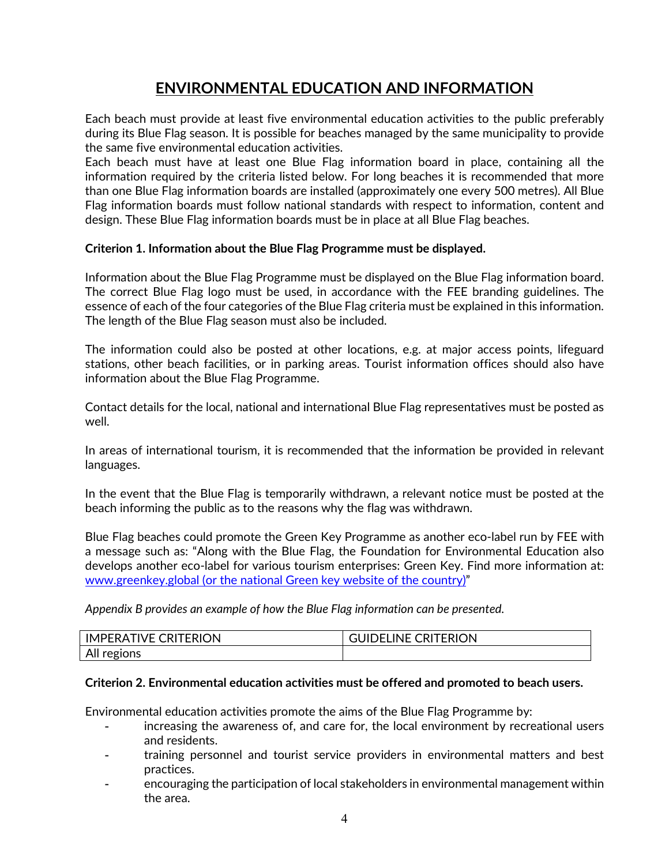# **ENVIRONMENTAL EDUCATION AND INFORMATION**

Each beach must provide at least five environmental education activities to the public preferably during its Blue Flag season. It is possible for beaches managed by the same municipality to provide the same five environmental education activities.

Each beach must have at least one Blue Flag information board in place, containing all the information required by the criteria listed below. For long beaches it is recommended that more than one Blue Flag information boards are installed (approximately one every 500 metres). All Blue Flag information boards must follow national standards with respect to information, content and design. These Blue Flag information boards must be in place at all Blue Flag beaches.

## **Criterion 1. Information about the Blue Flag Programme must be displayed.**

Information about the Blue Flag Programme must be displayed on the Blue Flag information board. The correct Blue Flag logo must be used, in accordance with the FEE branding guidelines. The essence of each of the four categories of the Blue Flag criteria must be explained in this information. The length of the Blue Flag season must also be included.

The information could also be posted at other locations, e.g. at major access points, lifeguard stations, other beach facilities, or in parking areas. Tourist information offices should also have information about the Blue Flag Programme.

Contact details for the local, national and international Blue Flag representatives must be posted as well.

In areas of international tourism, it is recommended that the information be provided in relevant languages.

In the event that the Blue Flag is temporarily withdrawn, a relevant notice must be posted at the beach informing the public as to the reasons why the flag was withdrawn.

Blue Flag beaches could promote the Green Key Programme as another eco-label run by FEE with a message such as: "Along with the Blue Flag, the Foundation for Environmental Education also develops another eco-label for various tourism enterprises: Green Key. Find more information at: www.greenkey.global (or the national Green key website of the country)"

*Appendix B provides an example of how the Blue Flag information can be presented.*

| TIVE CRITERION<br><b>IMPERAT</b> | <b>CRITERION</b><br>INF 0<br>$1 - 1$ |
|----------------------------------|--------------------------------------|
| All r<br>regions                 |                                      |

## **Criterion 2. Environmental education activities must be offered and promoted to beach users.**

Environmental education activities promote the aims of the Blue Flag Programme by:

- increasing the awareness of, and care for, the local environment by recreational users and residents.
- training personnel and tourist service providers in environmental matters and best practices.
- encouraging the participation of local stakeholders in environmental management within the area.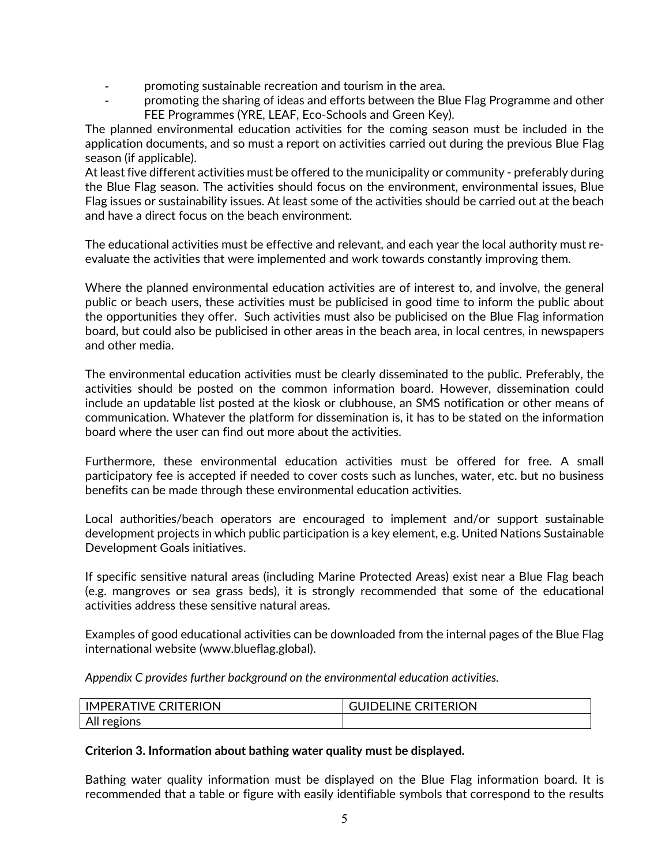- promoting sustainable recreation and tourism in the area.
- promoting the sharing of ideas and efforts between the Blue Flag Programme and other FEE Programmes (YRE, LEAF, Eco-Schools and Green Key).

The planned environmental education activities for the coming season must be included in the application documents, and so must a report on activities carried out during the previous Blue Flag season (if applicable).

At least five different activities must be offered to the municipality or community - preferably during the Blue Flag season. The activities should focus on the environment, environmental issues, Blue Flag issues or sustainability issues. At least some of the activities should be carried out at the beach and have a direct focus on the beach environment.

The educational activities must be effective and relevant, and each year the local authority must reevaluate the activities that were implemented and work towards constantly improving them.

Where the planned environmental education activities are of interest to, and involve, the general public or beach users, these activities must be publicised in good time to inform the public about the opportunities they offer. Such activities must also be publicised on the Blue Flag information board, but could also be publicised in other areas in the beach area, in local centres, in newspapers and other media.

The environmental education activities must be clearly disseminated to the public. Preferably, the activities should be posted on the common information board. However, dissemination could include an updatable list posted at the kiosk or clubhouse, an SMS notification or other means of communication. Whatever the platform for dissemination is, it has to be stated on the information board where the user can find out more about the activities.

Furthermore, these environmental education activities must be offered for free. A small participatory fee is accepted if needed to cover costs such as lunches, water, etc. but no business benefits can be made through these environmental education activities.

Local authorities/beach operators are encouraged to implement and/or support sustainable development projects in which public participation is a key element, e.g. United Nations Sustainable Development Goals initiatives.

If specific sensitive natural areas (including Marine Protected Areas) exist near a Blue Flag beach (e.g. mangroves or sea grass beds), it is strongly recommended that some of the educational activities address these sensitive natural areas.

Examples of good educational activities can be downloaded from the internal pages of the Blue Flag international website (www.blueflag.global).

*Appendix C provides further background on the environmental education activities.*

| <b>CRITERION</b><br><b>IVE</b><br>IM<br>, PF RA | $\overline{\phantom{0}}$<br><b>TERION</b><br>INE<br>RI<br>. .<br>◡ᡰ៶៲ |
|-------------------------------------------------|-----------------------------------------------------------------------|
| $\Lambda$<br>ิวทร<br>FIII                       |                                                                       |

## **Criterion 3. Information about bathing water quality must be displayed.**

Bathing water quality information must be displayed on the Blue Flag information board. It is recommended that a table or figure with easily identifiable symbols that correspond to the results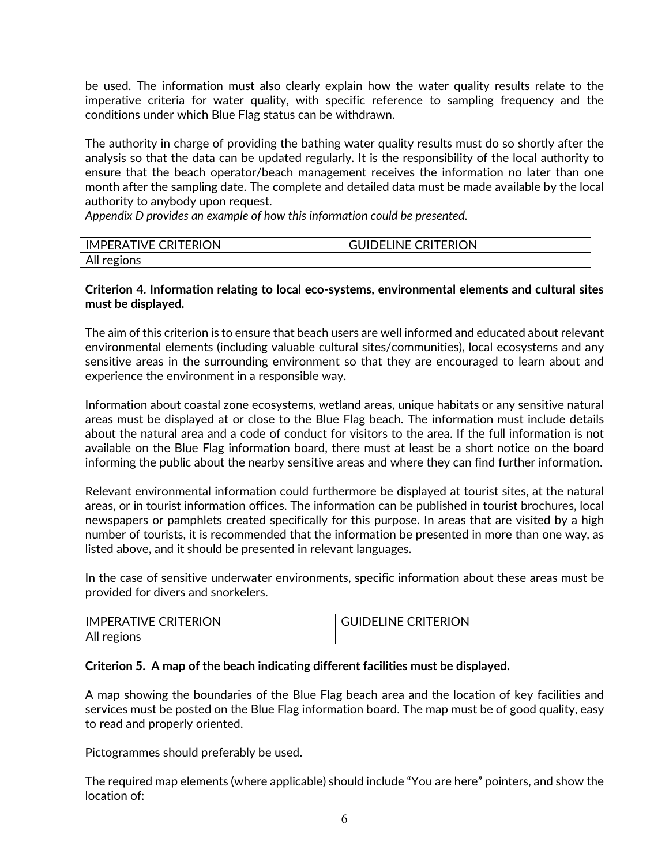be used. The information must also clearly explain how the water quality results relate to the imperative criteria for water quality, with specific reference to sampling frequency and the conditions under which Blue Flag status can be withdrawn.

The authority in charge of providing the bathing water quality results must do so shortly after the analysis so that the data can be updated regularly. It is the responsibility of the local authority to ensure that the beach operator/beach management receives the information no later than one month after the sampling date. The complete and detailed data must be made available by the local authority to anybody upon request.

*Appendix D provides an example of how this information could be presented.* 

| TIVE CRITERION<br><b>IMPFRAT</b> | <b>CRITERION</b><br>INF.<br>. . |
|----------------------------------|---------------------------------|
| 1000<br>AII I                    |                                 |

## **Criterion 4. Information relating to local eco-systems, environmental elements and cultural sites must be displayed.**

The aim of this criterion is to ensure that beach users are well informed and educated about relevant environmental elements (including valuable cultural sites/communities), local ecosystems and any sensitive areas in the surrounding environment so that they are encouraged to learn about and experience the environment in a responsible way.

Information about coastal zone ecosystems, wetland areas, unique habitats or any sensitive natural areas must be displayed at or close to the Blue Flag beach. The information must include details about the natural area and a code of conduct for visitors to the area. If the full information is not available on the Blue Flag information board, there must at least be a short notice on the board informing the public about the nearby sensitive areas and where they can find further information.

Relevant environmental information could furthermore be displayed at tourist sites, at the natural areas, or in tourist information offices. The information can be published in tourist brochures, local newspapers or pamphlets created specifically for this purpose. In areas that are visited by a high number of tourists, it is recommended that the information be presented in more than one way, as listed above, and it should be presented in relevant languages.

In the case of sensitive underwater environments, specific information about these areas must be provided for divers and snorkelers.

| <b>CRITERION</b><br>'IVF<br>IM<br>JPFRA' | <b>CRITERION</b><br>INF<br>┅ |
|------------------------------------------|------------------------------|
| All regions                              |                              |

## **Criterion 5. A map of the beach indicating different facilities must be displayed.**

A map showing the boundaries of the Blue Flag beach area and the location of key facilities and services must be posted on the Blue Flag information board. The map must be of good quality, easy to read and properly oriented.

Pictogrammes should preferably be used.

The required map elements (where applicable) should include "You are here" pointers, and show the location of: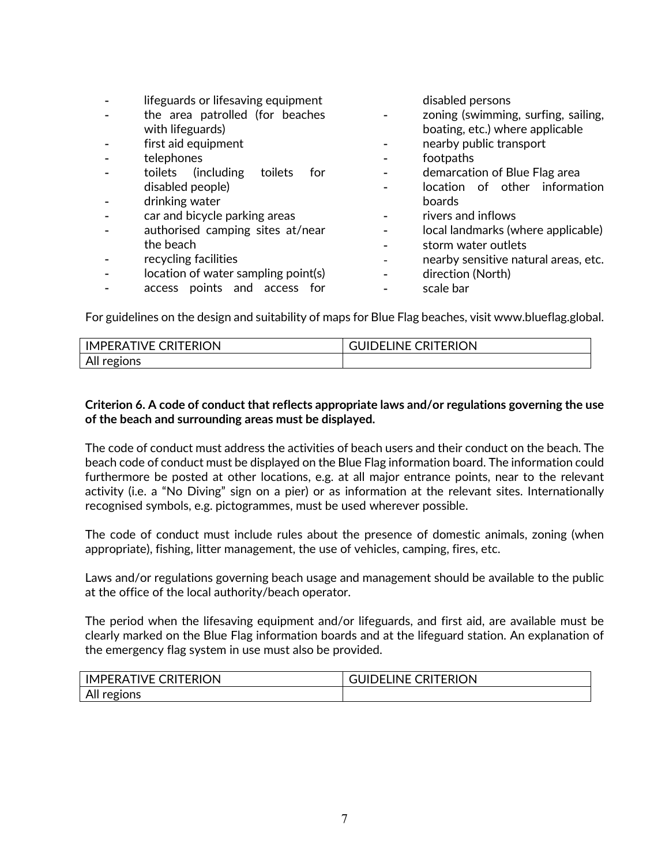| lifeguards or lifesaving equipment<br>the area patrolled (for beaches<br>with lifeguards)<br>first aid equipment<br>telephones<br>(including)<br>toilets<br>toilets<br>for<br>disabled people)<br>drinking water<br>car and bicycle parking areas<br>authorised camping sites at/near<br>the beach<br>recycling facilities<br>location of water sampling point(s)<br>access points and access for | disabled persons<br>zoning (swimming, surfing, sailing,<br>boating, etc.) where applicable<br>nearby public transport<br>footpaths<br>demarcation of Blue Flag area<br>location of other information<br>boards<br>rivers and inflows<br>local landmarks (where applicable)<br>storm water outlets<br>nearby sensitive natural areas, etc.<br>direction (North)<br>scale bar |
|---------------------------------------------------------------------------------------------------------------------------------------------------------------------------------------------------------------------------------------------------------------------------------------------------------------------------------------------------------------------------------------------------|-----------------------------------------------------------------------------------------------------------------------------------------------------------------------------------------------------------------------------------------------------------------------------------------------------------------------------------------------------------------------------|
|---------------------------------------------------------------------------------------------------------------------------------------------------------------------------------------------------------------------------------------------------------------------------------------------------------------------------------------------------------------------------------------------------|-----------------------------------------------------------------------------------------------------------------------------------------------------------------------------------------------------------------------------------------------------------------------------------------------------------------------------------------------------------------------------|

For guidelines on the design and suitability of maps for Blue Flag beaches, visit www.blueflag.global.

| <b>FIVE CRITERION</b><br><b>IMPERAT</b> | <b>CRITERION</b><br>INE (<br>) – I |
|-----------------------------------------|------------------------------------|
| All r<br>regions                        |                                    |

## **Criterion 6. A code of conduct that reflects appropriate laws and/or regulations governing the use of the beach and surrounding areas must be displayed.**

The code of conduct must address the activities of beach users and their conduct on the beach. The beach code of conduct must be displayed on the Blue Flag information board. The information could furthermore be posted at other locations, e.g. at all major entrance points, near to the relevant activity (i.e. a "No Diving" sign on a pier) or as information at the relevant sites. Internationally recognised symbols, e.g. pictogrammes, must be used wherever possible.

The code of conduct must include rules about the presence of domestic animals, zoning (when appropriate), fishing, litter management, the use of vehicles, camping, fires, etc.

Laws and/or regulations governing beach usage and management should be available to the public at the office of the local authority/beach operator.

The period when the lifesaving equipment and/or lifeguards, and first aid, are available must be clearly marked on the Blue Flag information boards and at the lifeguard station. An explanation of the emergency flag system in use must also be provided.

| <b>CRITERION</b><br>IMPERA <sup>-</sup><br>IVF ( | <b>CRITERION</b><br>INF (<br>Ш<br>ו⊣נ |
|--------------------------------------------------|---------------------------------------|
| All regions                                      |                                       |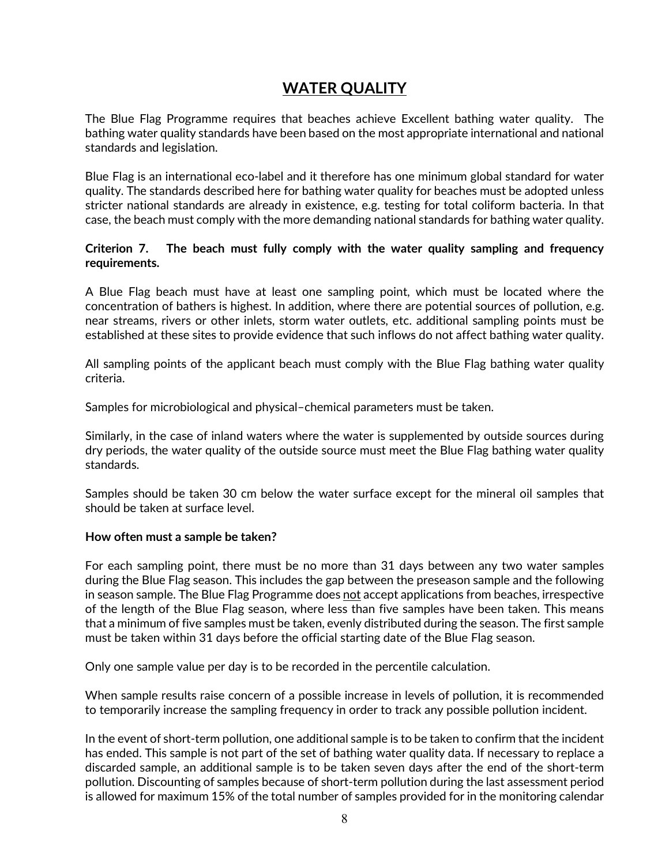# **WATER QUALITY**

The Blue Flag Programme requires that beaches achieve Excellent bathing water quality. The bathing water quality standards have been based on the most appropriate international and national standards and legislation.

Blue Flag is an international eco-label and it therefore has one minimum global standard for water quality. The standards described here for bathing water quality for beaches must be adopted unless stricter national standards are already in existence, e.g. testing for total coliform bacteria. In that case, the beach must comply with the more demanding national standards for bathing water quality.

## **Criterion 7. The beach must fully comply with the water quality sampling and frequency requirements.**

A Blue Flag beach must have at least one sampling point, which must be located where the concentration of bathers is highest. In addition, where there are potential sources of pollution, e.g. near streams, rivers or other inlets, storm water outlets, etc. additional sampling points must be established at these sites to provide evidence that such inflows do not affect bathing water quality.

All sampling points of the applicant beach must comply with the Blue Flag bathing water quality criteria.

Samples for microbiological and physical–chemical parameters must be taken.

Similarly, in the case of inland waters where the water is supplemented by outside sources during dry periods, the water quality of the outside source must meet the Blue Flag bathing water quality standards.

Samples should be taken 30 cm below the water surface except for the mineral oil samples that should be taken at surface level.

## **How often must a sample be taken?**

For each sampling point, there must be no more than 31 days between any two water samples during the Blue Flag season. This includes the gap between the preseason sample and the following in season sample. The Blue Flag Programme does not accept applications from beaches, irrespective of the length of the Blue Flag season, where less than five samples have been taken. This means that a minimum of five samples must be taken, evenly distributed during the season. The first sample must be taken within 31 days before the official starting date of the Blue Flag season.

Only one sample value per day is to be recorded in the percentile calculation.

When sample results raise concern of a possible increase in levels of pollution, it is recommended to temporarily increase the sampling frequency in order to track any possible pollution incident.

In the event of short-term pollution, one additional sample is to be taken to confirm that the incident has ended. This sample is not part of the set of bathing water quality data. If necessary to replace a discarded sample, an additional sample is to be taken seven days after the end of the short-term pollution. Discounting of samples because of short-term pollution during the last assessment period is allowed for maximum 15% of the total number of samples provided for in the monitoring calendar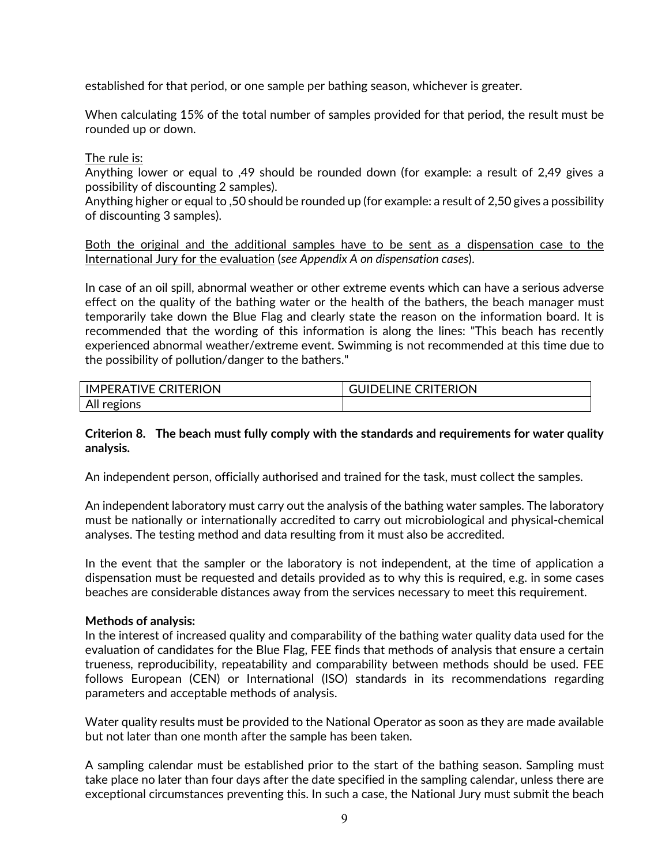established for that period, or one sample per bathing season, whichever is greater.

When calculating 15% of the total number of samples provided for that period, the result must be rounded up or down.

The rule is:

Anything lower or equal to ,49 should be rounded down (for example: a result of 2,49 gives a possibility of discounting 2 samples).

Anything higher or equal to ,50 should be rounded up (for example: a result of 2,50 gives a possibility of discounting 3 samples).

Both the original and the additional samples have to be sent as a dispensation case to the International Jury for the evaluation (*see Appendix A on dispensation cases*).

In case of an oil spill, abnormal weather or other extreme events which can have a serious adverse effect on the quality of the bathing water or the health of the bathers, the beach manager must temporarily take down the Blue Flag and clearly state the reason on the information board. It is recommended that the wording of this information is along the lines: "This beach has recently experienced abnormal weather/extreme event. Swimming is not recommended at this time due to the possibility of pollution/danger to the bathers."

| <b>IMPERATIVE CRITERION</b> | <b>CRITERION</b><br>INE (<br>F |
|-----------------------------|--------------------------------|
| All r<br>regions<br>ີ       |                                |

## **Criterion 8. The beach must fully comply with the standards and requirements for water quality analysis.**

An independent person, officially authorised and trained for the task, must collect the samples.

An independent laboratory must carry out the analysis of the bathing water samples. The laboratory must be nationally or internationally accredited to carry out microbiological and physical-chemical analyses. The testing method and data resulting from it must also be accredited.

In the event that the sampler or the laboratory is not independent, at the time of application a dispensation must be requested and details provided as to why this is required, e.g. in some cases beaches are considerable distances away from the services necessary to meet this requirement.

#### **Methods of analysis:**

In the interest of increased quality and comparability of the bathing water quality data used for the evaluation of candidates for the Blue Flag, FEE finds that methods of analysis that ensure a certain trueness, reproducibility, repeatability and comparability between methods should be used. FEE follows European (CEN) or International (ISO) standards in its recommendations regarding parameters and acceptable methods of analysis.

Water quality results must be provided to the National Operator as soon as they are made available but not later than one month after the sample has been taken.

A sampling calendar must be established prior to the start of the bathing season. Sampling must take place no later than four days after the date specified in the sampling calendar, unless there are exceptional circumstances preventing this. In such a case, the National Jury must submit the beach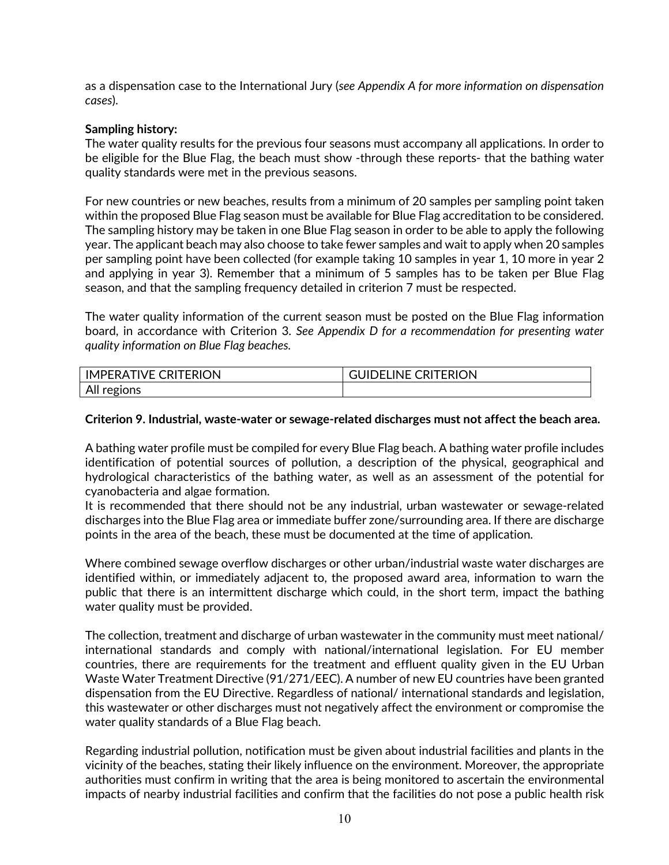as a dispensation case to the International Jury (*see Appendix A for more information on dispensation cases*).

## **Sampling history:**

The water quality results for the previous four seasons must accompany all applications. In order to be eligible for the Blue Flag, the beach must show -through these reports- that the bathing water quality standards were met in the previous seasons.

For new countries or new beaches, results from a minimum of 20 samples per sampling point taken within the proposed Blue Flag season must be available for Blue Flag accreditation to be considered. The sampling history may be taken in one Blue Flag season in order to be able to apply the following year. The applicant beach may also choose to take fewer samples and wait to apply when 20 samples per sampling point have been collected (for example taking 10 samples in year 1, 10 more in year 2 and applying in year 3). Remember that a minimum of 5 samples has to be taken per Blue Flag season, and that the sampling frequency detailed in criterion 7 must be respected.

The water quality information of the current season must be posted on the Blue Flag information board, in accordance with Criterion 3. *See Appendix D for a recommendation for presenting water quality information on Blue Flag beaches.*

| <b>CRITERION</b> | <b>LINE</b>      |
|------------------|------------------|
| <b>TIVE</b>      | <b>CRITERION</b> |
| <b>IMPERAT</b>   | ≀⊓∩،             |
| All regions      |                  |

## **Criterion 9. Industrial, waste-water or sewage-related discharges must not affect the beach area.**

A bathing water profile must be compiled for every Blue Flag beach. A bathing water profile includes identification of potential sources of pollution, a description of the physical, geographical and hydrological characteristics of the bathing water, as well as an assessment of the potential for cyanobacteria and algae formation.

It is recommended that there should not be any industrial, urban wastewater or sewage-related discharges into the Blue Flag area or immediate buffer zone/surrounding area. If there are discharge points in the area of the beach, these must be documented at the time of application.

Where combined sewage overflow discharges or other urban/industrial waste water discharges are identified within, or immediately adjacent to, the proposed award area, information to warn the public that there is an intermittent discharge which could, in the short term, impact the bathing water quality must be provided.

The collection, treatment and discharge of urban wastewater in the community must meet national/ international standards and comply with national/international legislation. For EU member countries, there are requirements for the treatment and effluent quality given in the EU Urban Waste Water Treatment Directive (91/271/EEC). A number of new EU countries have been granted dispensation from the EU Directive. Regardless of national/ international standards and legislation, this wastewater or other discharges must not negatively affect the environment or compromise the water quality standards of a Blue Flag beach.

Regarding industrial pollution, notification must be given about industrial facilities and plants in the vicinity of the beaches, stating their likely influence on the environment. Moreover, the appropriate authorities must confirm in writing that the area is being monitored to ascertain the environmental impacts of nearby industrial facilities and confirm that the facilities do not pose a public health risk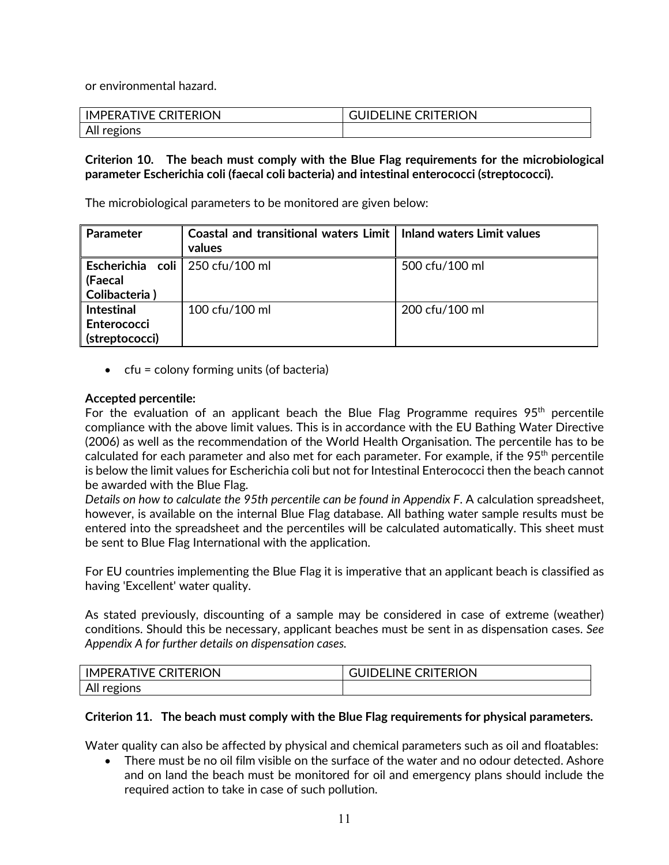or environmental hazard.

| <b>IMPERATIVE C</b><br><b>CRITERION</b> | UIDELINE CRITERION |
|-----------------------------------------|--------------------|
| All regions                             |                    |

## **Criterion 10. The beach must comply with the Blue Flag requirements for the microbiological parameter Escherichia coli (faecal coli bacteria) and intestinal enterococci (streptococci).**

The microbiological parameters to be monitored are given below:

| <b>Parameter</b>                                              | Coastal and transitional waters Limit   Inland waters Limit values<br>values |                |
|---------------------------------------------------------------|------------------------------------------------------------------------------|----------------|
| Escherichia coli   250 cfu/100 ml<br>(Faecal<br>Colibacteria) |                                                                              | 500 cfu/100 ml |
| <b>Intestinal</b><br>Enterococci<br>(streptococci)            | 100 cfu/100 ml                                                               | 200 cfu/100 ml |

 $\bullet$  cfu = colony forming units (of bacteria)

## **Accepted percentile:**

For the evaluation of an applicant beach the Blue Flag Programme requires  $95<sup>th</sup>$  percentile compliance with the above limit values. This is in accordance with the EU Bathing Water Directive (2006) as well as the recommendation of the World Health Organisation. The percentile has to be calculated for each parameter and also met for each parameter. For example, if the 95<sup>th</sup> percentile is below the limit values for Escherichia coli but not for Intestinal Enterococci then the beach cannot be awarded with the Blue Flag.

*Details on how to calculate the 95th percentile can be found in Appendix F*. A calculation spreadsheet, however, is available on the internal Blue Flag database. All bathing water sample results must be entered into the spreadsheet and the percentiles will be calculated automatically. This sheet must be sent to Blue Flag International with the application.

For EU countries implementing the Blue Flag it is imperative that an applicant beach is classified as having 'Excellent' water quality.

As stated previously, discounting of a sample may be considered in case of extreme (weather) conditions. Should this be necessary, applicant beaches must be sent in as dispensation cases. *See Appendix A for further details on dispensation cases.*

| <b>IMPERATIVE C</b><br><b>CRITERION</b> | LINE C<br><b>CRITERION</b><br>JIL<br>F |
|-----------------------------------------|----------------------------------------|
| All regions                             |                                        |

#### **Criterion 11. The beach must comply with the Blue Flag requirements for physical parameters.**

Water quality can also be affected by physical and chemical parameters such as oil and floatables:

• There must be no oil film visible on the surface of the water and no odour detected. Ashore and on land the beach must be monitored for oil and emergency plans should include the required action to take in case of such pollution.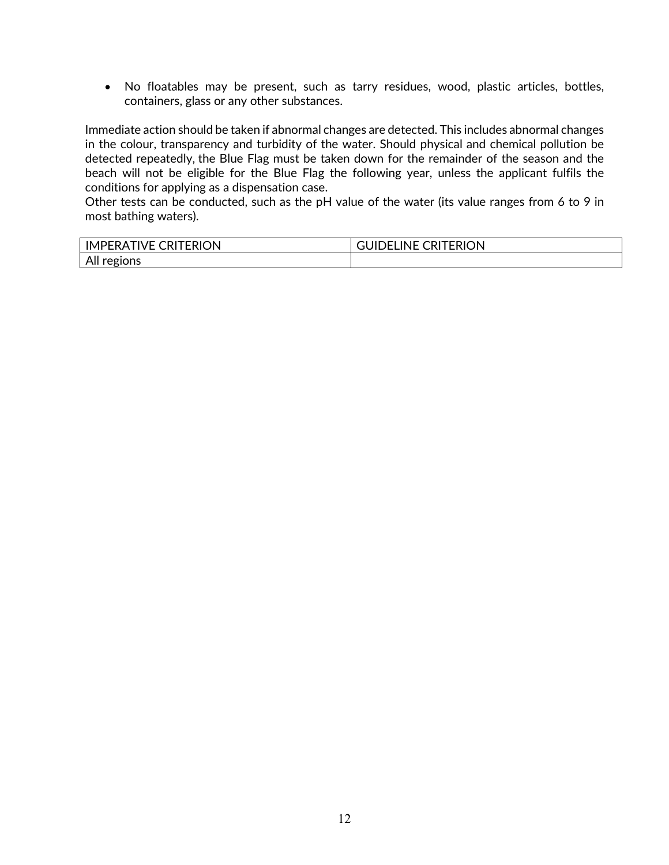• No floatables may be present, such as tarry residues, wood, plastic articles, bottles, containers, glass or any other substances.

Immediate action should be taken if abnormal changes are detected. This includes abnormal changes in the colour, transparency and turbidity of the water. Should physical and chemical pollution be detected repeatedly, the Blue Flag must be taken down for the remainder of the season and the beach will not be eligible for the Blue Flag the following year, unless the applicant fulfils the conditions for applying as a dispensation case.

Other tests can be conducted, such as the pH value of the water (its value ranges from 6 to 9 in most bathing waters).

| <b>CRITERION</b><br>∵ TIVF ∈.<br>IMI<br>.⊪FRA+∶ | <b>CRITERION</b><br>™INE C.<br>ж⊢ |
|-------------------------------------------------|-----------------------------------|
| TIONS<br>All '<br>reg <sub>1</sub><br>ີ         |                                   |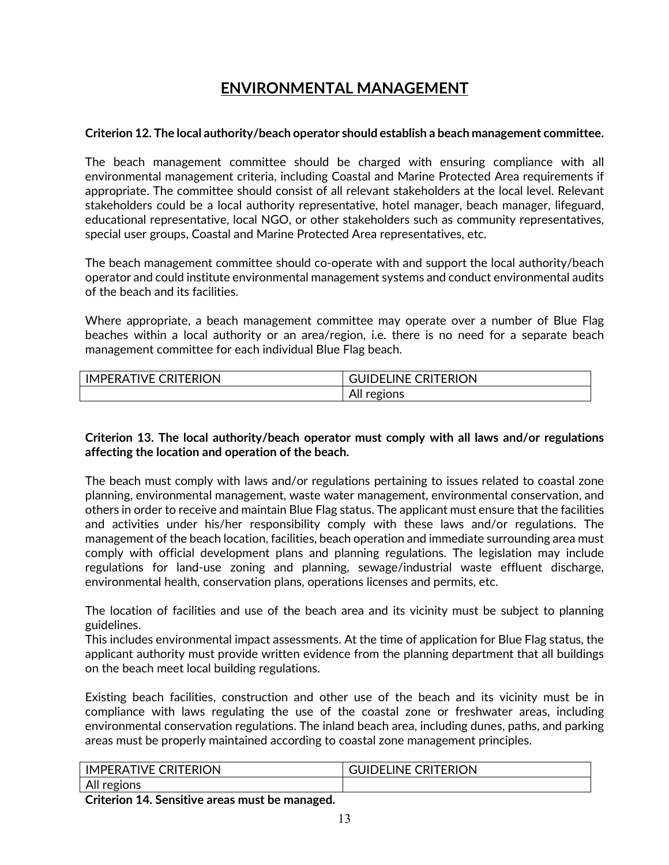# **ENVIRONMENTAL MANAGEMENT**

## **Criterion 12. The local authority/beach operator should establish a beach management committee.**

The beach management committee should be charged with ensuring compliance with all environmental management criteria, including Coastal and Marine Protected Area requirements if appropriate. The committee should consist of all relevant stakeholders at the local level. Relevant stakeholders could be a local authority representative, hotel manager, beach manager, lifeguard, educational representative, local NGO, or other stakeholders such as community representatives, special user groups, Coastal and Marine Protected Area representatives, etc.

The beach management committee should co-operate with and support the local authority/beach operator and could institute environmental management systems and conduct environmental audits of the beach and its facilities.

Where appropriate, a beach management committee may operate over a number of Blue Flag beaches within a local authority or an area/region, i.e. there is no need for a separate beach management committee for each individual Blue Flag beach.

| <b>CRITERION</b><br>IVF.<br>IM<br><b>IPFRA</b> | <b>CRITERION</b><br><b>INF</b> |
|------------------------------------------------|--------------------------------|
|                                                | ions<br>המי<br>וור<br>È        |

## **Criterion 13. The local authority/beach operator must comply with all laws and/or regulations affecting the location and operation of the beach.**

The beach must comply with laws and/or regulations pertaining to issues related to coastal zone planning, environmental management, waste water management, environmental conservation, and others in order to receive and maintain Blue Flag status. The applicant must ensure that the facilities and activities under his/her responsibility comply with these laws and/or regulations. The management of the beach location, facilities, beach operation and immediate surrounding area must comply with official development plans and planning regulations. The legislation may include regulations for land-use zoning and planning, sewage/industrial waste effluent discharge, environmental health, conservation plans, operations licenses and permits, etc.

The location of facilities and use of the beach area and its vicinity must be subject to planning guidelines.

This includes environmental impact assessments. At the time of application for Blue Flag status, the applicant authority must provide written evidence from the planning department that all buildings on the beach meet local building regulations.

Existing beach facilities, construction and other use of the beach and its vicinity must be in compliance with laws regulating the use of the coastal zone or freshwater areas, including environmental conservation regulations. The inland beach area, including dunes, paths, and parking areas must be properly maintained according to coastal zone management principles.

| <b>CRITERION</b>                       | TERION |
|----------------------------------------|--------|
| $\sqrt{2}$                             | $\sim$ |
| IM                                     | INF    |
| <b>IVF</b>                             | וש     |
| IPFRA                                  | . .    |
| $\Lambda$<br>วทร<br>regi<br><b>All</b> |        |

**Criterion 14. Sensitive areas must be managed.**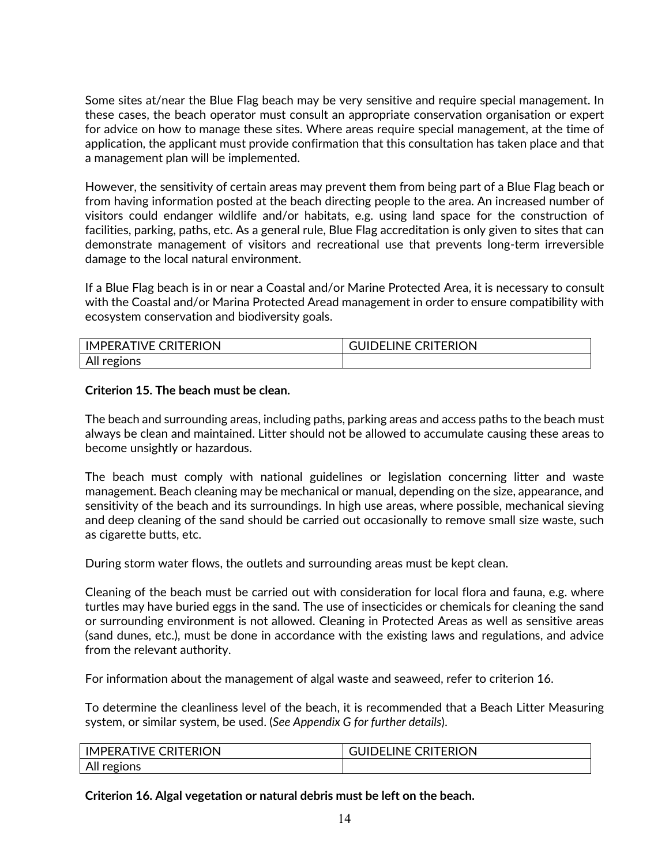Some sites at/near the Blue Flag beach may be very sensitive and require special management. In these cases, the beach operator must consult an appropriate conservation organisation or expert for advice on how to manage these sites. Where areas require special management, at the time of application, the applicant must provide confirmation that this consultation has taken place and that a management plan will be implemented.

However, the sensitivity of certain areas may prevent them from being part of a Blue Flag beach or from having information posted at the beach directing people to the area. An increased number of visitors could endanger wildlife and/or habitats, e.g. using land space for the construction of facilities, parking, paths, etc. As a general rule, Blue Flag accreditation is only given to sites that can demonstrate management of visitors and recreational use that prevents long-term irreversible damage to the local natural environment.

If a Blue Flag beach is in or near a Coastal and/or Marine Protected Area, it is necessary to consult with the Coastal and/or Marina Protected Aread management in order to ensure compatibility with ecosystem conservation and biodiversity goals.

| <b>CRITERION</b> | <b>INE</b>       |
|------------------|------------------|
| TIVE (           | <b>CRITERION</b> |
| <b>IMPERA</b>    | JIDEL            |
| All<br>regions   |                  |

## **Criterion 15. The beach must be clean.**

The beach and surrounding areas, including paths, parking areas and access paths to the beach must always be clean and maintained. Litter should not be allowed to accumulate causing these areas to become unsightly or hazardous.

The beach must comply with national guidelines or legislation concerning litter and waste management. Beach cleaning may be mechanical or manual, depending on the size, appearance, and sensitivity of the beach and its surroundings. In high use areas, where possible, mechanical sieving and deep cleaning of the sand should be carried out occasionally to remove small size waste, such as cigarette butts, etc.

During storm water flows, the outlets and surrounding areas must be kept clean.

Cleaning of the beach must be carried out with consideration for local flora and fauna, e.g. where turtles may have buried eggs in the sand. The use of insecticides or chemicals for cleaning the sand or surrounding environment is not allowed. Cleaning in Protected Areas as well as sensitive areas (sand dunes, etc.), must be done in accordance with the existing laws and regulations, and advice from the relevant authority.

For information about the management of algal waste and seaweed, refer to criterion 16.

To determine the cleanliness level of the beach, it is recommended that a Beach Litter Measuring system, or similar system, be used. (*See Appendix G for further details*).

| <b>TIVE CRITERION</b><br><b>IMPERAT</b> | <b>CRITERION</b><br>$\cdots$<br>.INE<br>பட<br>)FI |
|-----------------------------------------|---------------------------------------------------|
| All regions                             |                                                   |

**Criterion 16. Algal vegetation or natural debris must be left on the beach.**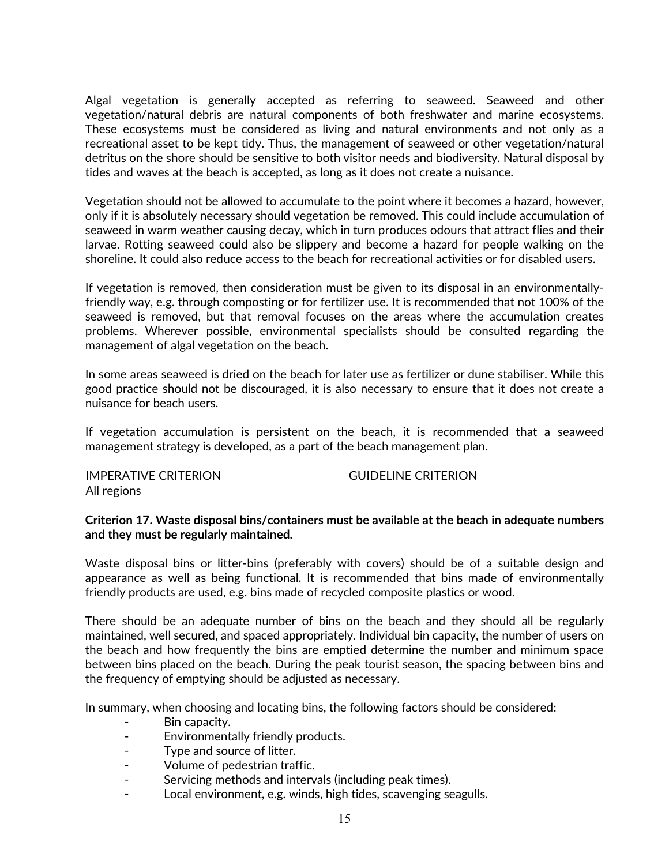Algal vegetation is generally accepted as referring to seaweed. Seaweed and other vegetation/natural debris are natural components of both freshwater and marine ecosystems. These ecosystems must be considered as living and natural environments and not only as a recreational asset to be kept tidy. Thus, the management of seaweed or other vegetation/natural detritus on the shore should be sensitive to both visitor needs and biodiversity. Natural disposal by tides and waves at the beach is accepted, as long as it does not create a nuisance.

Vegetation should not be allowed to accumulate to the point where it becomes a hazard, however, only if it is absolutely necessary should vegetation be removed. This could include accumulation of seaweed in warm weather causing decay, which in turn produces odours that attract flies and their larvae. Rotting seaweed could also be slippery and become a hazard for people walking on the shoreline. It could also reduce access to the beach for recreational activities or for disabled users.

If vegetation is removed, then consideration must be given to its disposal in an environmentallyfriendly way, e.g. through composting or for fertilizer use. It is recommended that not 100% of the seaweed is removed, but that removal focuses on the areas where the accumulation creates problems. Wherever possible, environmental specialists should be consulted regarding the management of algal vegetation on the beach.

In some areas seaweed is dried on the beach for later use as fertilizer or dune stabiliser. While this good practice should not be discouraged, it is also necessary to ensure that it does not create a nuisance for beach users.

If vegetation accumulation is persistent on the beach, it is recommended that a seaweed management strategy is developed, as a part of the beach management plan.

| <b>TIVE CRITERION</b><br><b>IMPERAT</b> | <b>CRITERION</b><br>LINE C<br>י – י |
|-----------------------------------------|-------------------------------------|
| All re<br>regi.                         |                                     |

**Criterion 17. Waste disposal bins/containers must be available at the beach in adequate numbers and they must be regularly maintained.**

Waste disposal bins or litter-bins (preferably with covers) should be of a suitable design and appearance as well as being functional. It is recommended that bins made of environmentally friendly products are used, e.g. bins made of recycled composite plastics or wood.

There should be an adequate number of bins on the beach and they should all be regularly maintained, well secured, and spaced appropriately. Individual bin capacity, the number of users on the beach and how frequently the bins are emptied determine the number and minimum space between bins placed on the beach. During the peak tourist season, the spacing between bins and the frequency of emptying should be adjusted as necessary.

In summary, when choosing and locating bins, the following factors should be considered:

- Bin capacity.
- Environmentally friendly products.
- Type and source of litter.
- Volume of pedestrian traffic.
- Servicing methods and intervals (including peak times).
- Local environment, e.g. winds, high tides, scavenging seagulls.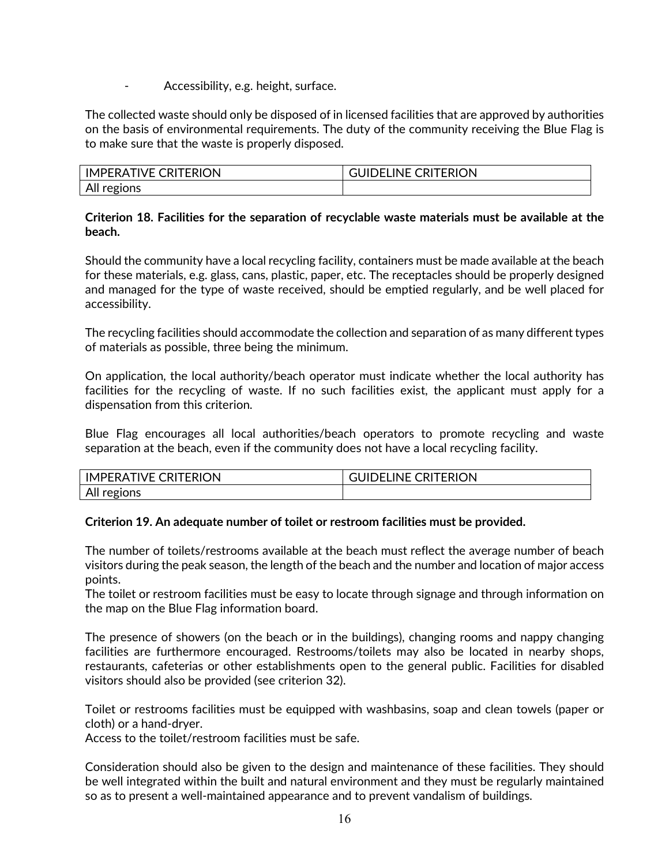Accessibility, e.g. height, surface.

The collected waste should only be disposed of in licensed facilities that are approved by authorities on the basis of environmental requirements. The duty of the community receiving the Blue Flag is to make sure that the waste is properly disposed.

| <b>IMPERATIVE CRITERION</b> | <b>CRITERION</b><br>INF (<br>ЛL<br>) – I |
|-----------------------------|------------------------------------------|
| All regions                 |                                          |

## **Criterion 18. Facilities for the separation of recyclable waste materials must be available at the beach.**

Should the community have a local recycling facility, containers must be made available at the beach for these materials, e.g. glass, cans, plastic, paper, etc. The receptacles should be properly designed and managed for the type of waste received, should be emptied regularly, and be well placed for accessibility.

The recycling facilities should accommodate the collection and separation of as many different types of materials as possible, three being the minimum.

On application, the local authority/beach operator must indicate whether the local authority has facilities for the recycling of waste. If no such facilities exist, the applicant must apply for a dispensation from this criterion.

Blue Flag encourages all local authorities/beach operators to promote recycling and waste separation at the beach, even if the community does not have a local recycling facility.

| <b>CRITERION</b><br>IM.<br>VF<br>'FRA | <b>CRITERION</b><br>ıNF. |
|---------------------------------------|--------------------------|
| All r<br>╰                            |                          |

## **Criterion 19. An adequate number of toilet or restroom facilities must be provided.**

The number of toilets/restrooms available at the beach must reflect the average number of beach visitors during the peak season, the length of the beach and the number and location of major access points.

The toilet or restroom facilities must be easy to locate through signage and through information on the map on the Blue Flag information board.

The presence of showers (on the beach or in the buildings), changing rooms and nappy changing facilities are furthermore encouraged. Restrooms/toilets may also be located in nearby shops, restaurants, cafeterias or other establishments open to the general public. Facilities for disabled visitors should also be provided (see criterion 32).

Toilet or restrooms facilities must be equipped with washbasins, soap and clean towels (paper or cloth) or a hand-dryer.

Access to the toilet/restroom facilities must be safe.

Consideration should also be given to the design and maintenance of these facilities. They should be well integrated within the built and natural environment and they must be regularly maintained so as to present a well-maintained appearance and to prevent vandalism of buildings.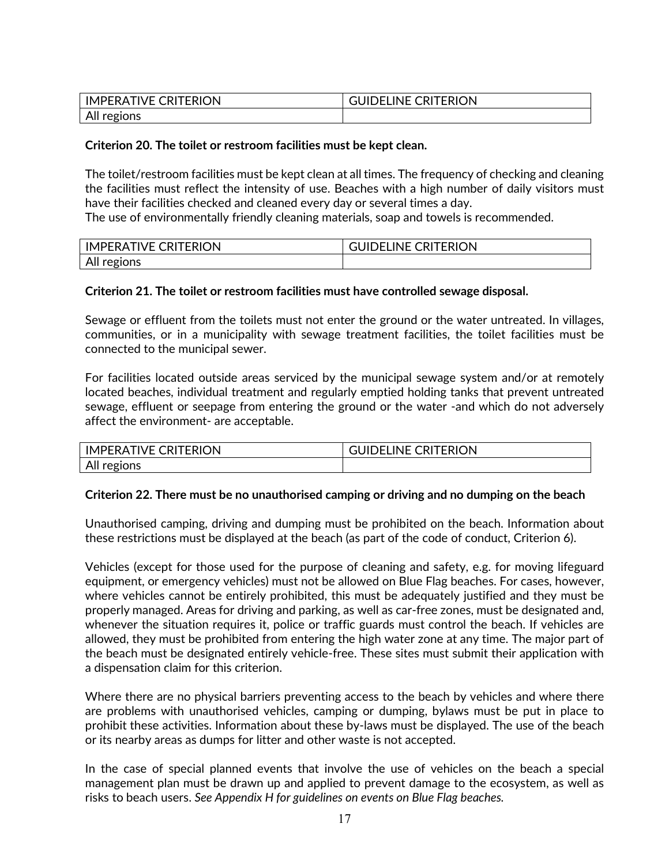| <b>IMPERATIVE CRITERION</b> | <b>GUIDELINE CRITERION</b> |
|-----------------------------|----------------------------|
| All regions                 |                            |

## **Criterion 20. The toilet or restroom facilities must be kept clean.**

The toilet/restroom facilities must be kept clean at all times. The frequency of checking and cleaning the facilities must reflect the intensity of use. Beaches with a high number of daily visitors must have their facilities checked and cleaned every day or several times a day.

The use of environmentally friendly cleaning materials, soap and towels is recommended.

| <b>IMPERA</b><br><b>RATIVE CRITERION</b> | <b>CRITERION</b><br>ገFI INF (<br>JID |
|------------------------------------------|--------------------------------------|
| All regions                              |                                      |

## **Criterion 21. The toilet or restroom facilities must have controlled sewage disposal.**

Sewage or effluent from the toilets must not enter the ground or the water untreated. In villages, communities, or in a municipality with sewage treatment facilities, the toilet facilities must be connected to the municipal sewer.

For facilities located outside areas serviced by the municipal sewage system and/or at remotely located beaches, individual treatment and regularly emptied holding tanks that prevent untreated sewage, effluent or seepage from entering the ground or the water -and which do not adversely affect the environment- are acceptable.

| <b>IMPERATIVE CRITERION</b> | <b>GUIDELINE CRITERION</b> |
|-----------------------------|----------------------------|
| All regions                 |                            |

## **Criterion 22. There must be no unauthorised camping or driving and no dumping on the beach**

Unauthorised camping, driving and dumping must be prohibited on the beach. Information about these restrictions must be displayed at the beach (as part of the code of conduct, Criterion 6).

Vehicles (except for those used for the purpose of cleaning and safety, e.g. for moving lifeguard equipment, or emergency vehicles) must not be allowed on Blue Flag beaches. For cases, however, where vehicles cannot be entirely prohibited, this must be adequately justified and they must be properly managed. Areas for driving and parking, as well as car-free zones, must be designated and, whenever the situation requires it, police or traffic guards must control the beach. If vehicles are allowed, they must be prohibited from entering the high water zone at any time. The major part of the beach must be designated entirely vehicle-free. These sites must submit their application with a dispensation claim for this criterion.

Where there are no physical barriers preventing access to the beach by vehicles and where there are problems with unauthorised vehicles, camping or dumping, bylaws must be put in place to prohibit these activities. Information about these by-laws must be displayed. The use of the beach or its nearby areas as dumps for litter and other waste is not accepted.

In the case of special planned events that involve the use of vehicles on the beach a special management plan must be drawn up and applied to prevent damage to the ecosystem, as well as risks to beach users. *See Appendix H for guidelines on events on Blue Flag beaches.*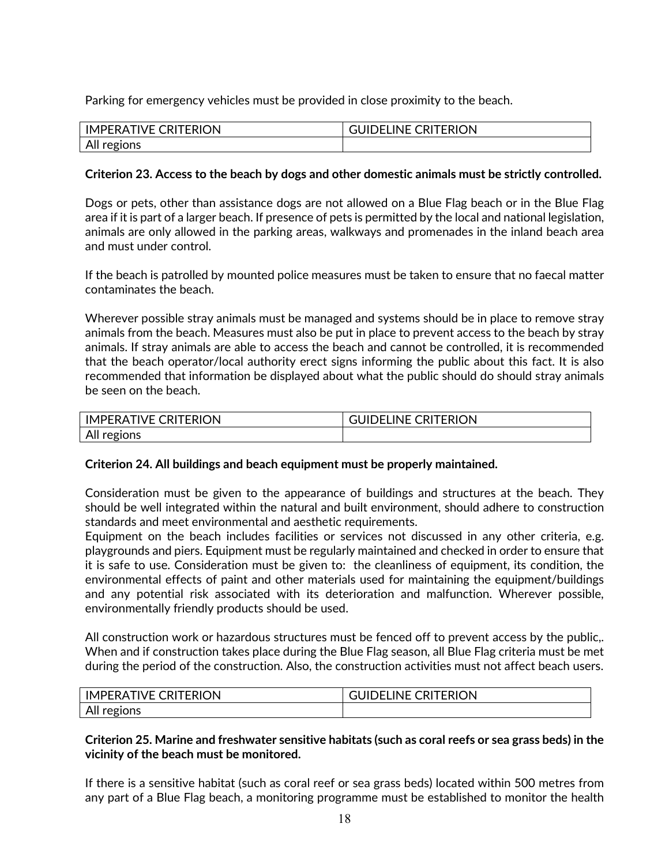Parking for emergency vehicles must be provided in close proximity to the beach.

| <b>CRITERION</b><br>IMPERATIVE | <b>CRITERION</b><br><b>INE</b><br>F<br>பட<br>٦ŧ |
|--------------------------------|-------------------------------------------------|
| All regions                    |                                                 |

## **Criterion 23. Access to the beach by dogs and other domestic animals must be strictly controlled.**

Dogs or pets, other than assistance dogs are not allowed on a Blue Flag beach or in the Blue Flag area if it is part of a larger beach. If presence of pets is permitted by the local and national legislation, animals are only allowed in the parking areas, walkways and promenades in the inland beach area and must under control.

If the beach is patrolled by mounted police measures must be taken to ensure that no faecal matter contaminates the beach.

Wherever possible stray animals must be managed and systems should be in place to remove stray animals from the beach. Measures must also be put in place to prevent access to the beach by stray animals. If stray animals are able to access the beach and cannot be controlled, it is recommended that the beach operator/local authority erect signs informing the public about this fact. It is also recommended that information be displayed about what the public should do should stray animals be seen on the beach.

| <b>CRITERION</b><br>IVE.<br><b>IMPERA</b> | <b>CRITERION</b><br>INE <sup>(</sup><br>JIL<br>F <sub>1</sub> |
|-------------------------------------------|---------------------------------------------------------------|
| All regions                               |                                                               |

## **Criterion 24. All buildings and beach equipment must be properly maintained.**

Consideration must be given to the appearance of buildings and structures at the beach. They should be well integrated within the natural and built environment, should adhere to construction standards and meet environmental and aesthetic requirements.

Equipment on the beach includes facilities or services not discussed in any other criteria, e.g. playgrounds and piers. Equipment must be regularly maintained and checked in order to ensure that it is safe to use. Consideration must be given to: the cleanliness of equipment, its condition, the environmental effects of paint and other materials used for maintaining the equipment/buildings and any potential risk associated with its deterioration and malfunction. Wherever possible, environmentally friendly products should be used.

All construction work or hazardous structures must be fenced off to prevent access by the public,. When and if construction takes place during the Blue Flag season, all Blue Flag criteria must be met during the period of the construction. Also, the construction activities must not affect beach users.

| <b>TERION</b><br><b>IMPERA</b><br>CRI <sup>-</sup><br>1VF | <b>CRITERION</b><br><b>INF</b><br>┅ |  |  |  |  |  |
|-----------------------------------------------------------|-------------------------------------|--|--|--|--|--|
| All regions                                               |                                     |  |  |  |  |  |

## **Criterion 25. Marine and freshwater sensitive habitats (such as coral reefs or sea grass beds) in the vicinity of the beach must be monitored.**

If there is a sensitive habitat (such as coral reef or sea grass beds) located within 500 metres from any part of a Blue Flag beach, a monitoring programme must be established to monitor the health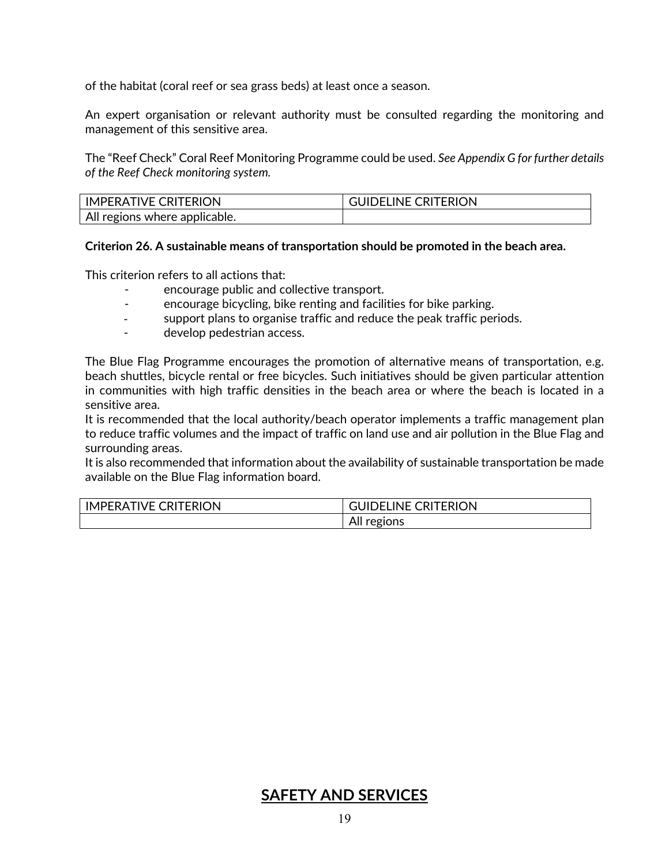of the habitat (coral reef or sea grass beds) at least once a season.

An expert organisation or relevant authority must be consulted regarding the monitoring and management of this sensitive area.

The "Reef Check" Coral Reef Monitoring Programme could be used. *See Appendix G for further details of the Reef Check monitoring system.*

| <b>IMPERATIVE CRITERION</b>   | <b>DELINE CRITERION</b> |
|-------------------------------|-------------------------|
| All regions where applicable. |                         |

**Criterion 26. A sustainable means of transportation should be promoted in the beach area.**

This criterion refers to all actions that:

- encourage public and collective transport.
- encourage bicycling, bike renting and facilities for bike parking.
- support plans to organise traffic and reduce the peak traffic periods.
- develop pedestrian access.

The Blue Flag Programme encourages the promotion of alternative means of transportation, e.g. beach shuttles, bicycle rental or free bicycles. Such initiatives should be given particular attention in communities with high traffic densities in the beach area or where the beach is located in a sensitive area.

It is recommended that the local authority/beach operator implements a traffic management plan to reduce traffic volumes and the impact of traffic on land use and air pollution in the Blue Flag and surrounding areas.

It is also recommended that information about the availability of sustainable transportation be made available on the Blue Flag information board.

| <b>CRITERION</b><br>'IVE<br><b>IMPERAT</b> | TERION<br>_INE<br>JIDEL<br>∪RP ∪ |  |  |  |  |
|--------------------------------------------|----------------------------------|--|--|--|--|
|                                            | All<br>regions                   |  |  |  |  |

## **SAFETY AND SERVICES**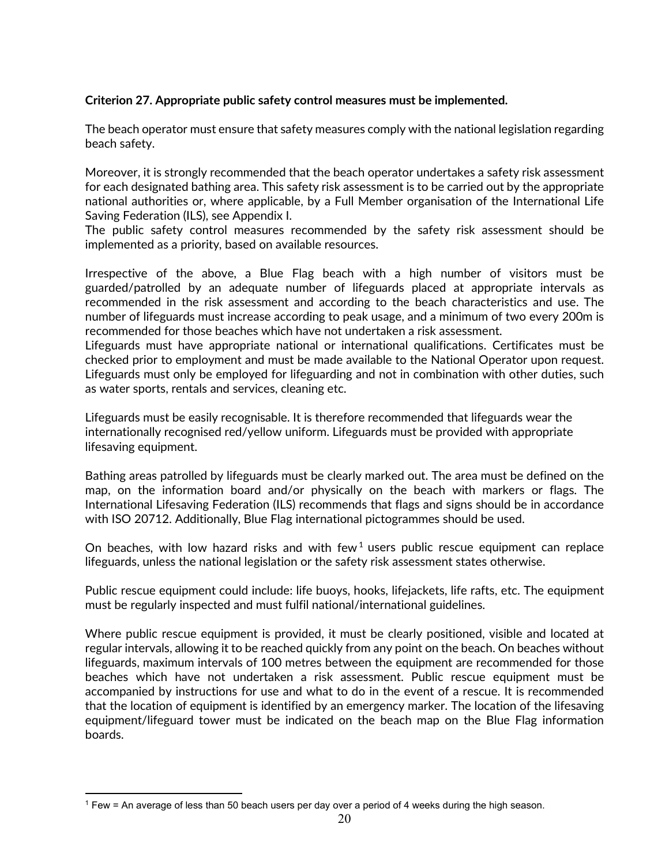## **Criterion 27. Appropriate public safety control measures must be implemented.**

The beach operator must ensure that safety measures comply with the national legislation regarding beach safety.

Moreover, it is strongly recommended that the beach operator undertakes a safety risk assessment for each designated bathing area. This safety risk assessment is to be carried out by the appropriate national authorities or, where applicable, by a Full Member organisation of the International Life Saving Federation (ILS), see Appendix I.

The public safety control measures recommended by the safety risk assessment should be implemented as a priority, based on available resources.

Irrespective of the above, a Blue Flag beach with a high number of visitors must be guarded/patrolled by an adequate number of lifeguards placed at appropriate intervals as recommended in the risk assessment and according to the beach characteristics and use. The number of lifeguards must increase according to peak usage, and a minimum of two every 200m is recommended for those beaches which have not undertaken a risk assessment.

Lifeguards must have appropriate national or international qualifications. Certificates must be checked prior to employment and must be made available to the National Operator upon request. Lifeguards must only be employed for lifeguarding and not in combination with other duties, such as water sports, rentals and services, cleaning etc.

Lifeguards must be easily recognisable. It is therefore recommended that lifeguards wear the internationally recognised red/yellow uniform. Lifeguards must be provided with appropriate lifesaving equipment.

Bathing areas patrolled by lifeguards must be clearly marked out. The area must be defined on the map, on the information board and/or physically on the beach with markers or flags. The International Lifesaving Federation (ILS) recommends that flags and signs should be in accordance with ISO 20712. Additionally, Blue Flag international pictogrammes should be used.

On beaches, with low hazard risks and with few<sup>[1](#page-19-0)</sup> users public rescue equipment can replace lifeguards, unless the national legislation or the safety risk assessment states otherwise.

Public rescue equipment could include: life buoys, hooks, lifejackets, life rafts, etc. The equipment must be regularly inspected and must fulfil national/international guidelines.

Where public rescue equipment is provided, it must be clearly positioned, visible and located at regular intervals, allowing it to be reached quickly from any point on the beach. On beaches without lifeguards, maximum intervals of 100 metres between the equipment are recommended for those beaches which have not undertaken a risk assessment. Public rescue equipment must be accompanied by instructions for use and what to do in the event of a rescue. It is recommended that the location of equipment is identified by an emergency marker. The location of the lifesaving equipment/lifeguard tower must be indicated on the beach map on the Blue Flag information boards.

<span id="page-19-0"></span><sup>1</sup> Few = An average of less than 50 beach users per day over a period of 4 weeks during the high season.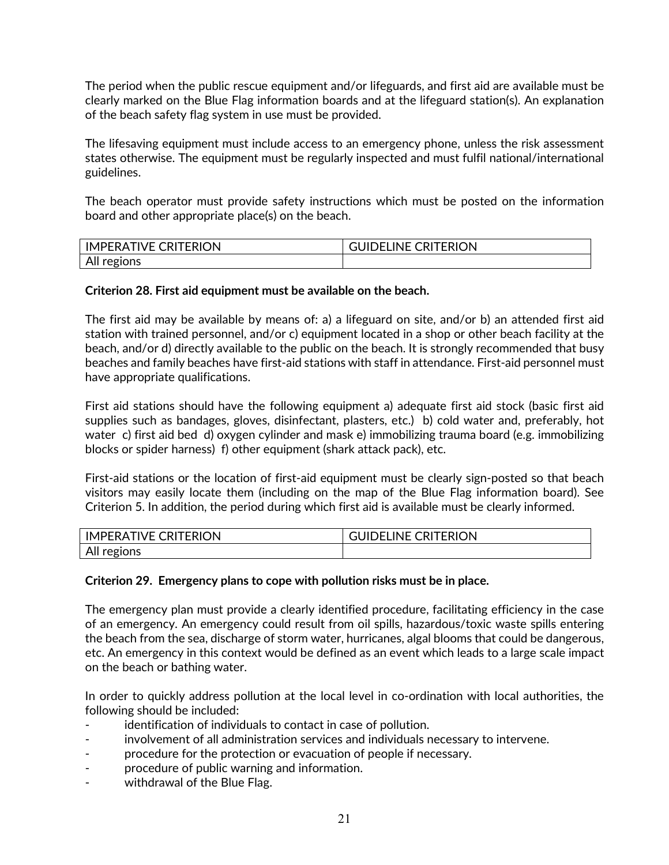The period when the public rescue equipment and/or lifeguards, and first aid are available must be clearly marked on the Blue Flag information boards and at the lifeguard station(s). An explanation of the beach safety flag system in use must be provided.

The lifesaving equipment must include access to an emergency phone, unless the risk assessment states otherwise. The equipment must be regularly inspected and must fulfil national/international guidelines.

The beach operator must provide safety instructions which must be posted on the information board and other appropriate place(s) on the beach.

| <b>CRITERION</b><br><b>TIVE</b> U<br><b>IMPFRAT</b> | <b>CRITERION</b><br>ו א TFI INF |
|-----------------------------------------------------|---------------------------------|
| All regions                                         |                                 |

## **Criterion 28. First aid equipment must be available on the beach.**

The first aid may be available by means of: a) a lifeguard on site, and/or b) an attended first aid station with trained personnel, and/or c) equipment located in a shop or other beach facility at the beach, and/or d) directly available to the public on the beach. It is strongly recommended that busy beaches and family beaches have first-aid stations with staff in attendance. First-aid personnel must have appropriate qualifications.

First aid stations should have the following equipment a) adequate first aid stock (basic first aid supplies such as bandages, gloves, disinfectant, plasters, etc.) b) cold water and, preferably, hot water c) first aid bed d) oxygen cylinder and mask e) immobilizing trauma board (e.g. immobilizing blocks or spider harness) f) other equipment (shark attack pack), etc.

First-aid stations or the location of first-aid equipment must be clearly sign-posted so that beach visitors may easily locate them (including on the map of the Blue Flag information board). See Criterion 5. In addition, the period during which first aid is available must be clearly informed.

| <b>CRITERION</b><br>$\sqrt{2}$<br>IMI<br>IVF.<br>∵⊩RA ∟ | <b>CRITERION</b><br><b>INF</b><br>℩⊨ |
|---------------------------------------------------------|--------------------------------------|
| All r<br>regions                                        |                                      |

## **Criterion 29. Emergency plans to cope with pollution risks must be in place.**

The emergency plan must provide a clearly identified procedure, facilitating efficiency in the case of an emergency. An emergency could result from oil spills, hazardous/toxic waste spills entering the beach from the sea, discharge of storm water, hurricanes, algal blooms that could be dangerous, etc. An emergency in this context would be defined as an event which leads to a large scale impact on the beach or bathing water.

In order to quickly address pollution at the local level in co-ordination with local authorities, the following should be included:

- identification of individuals to contact in case of pollution.
- involvement of all administration services and individuals necessary to intervene.
- procedure for the protection or evacuation of people if necessary.
- procedure of public warning and information.
- withdrawal of the Blue Flag.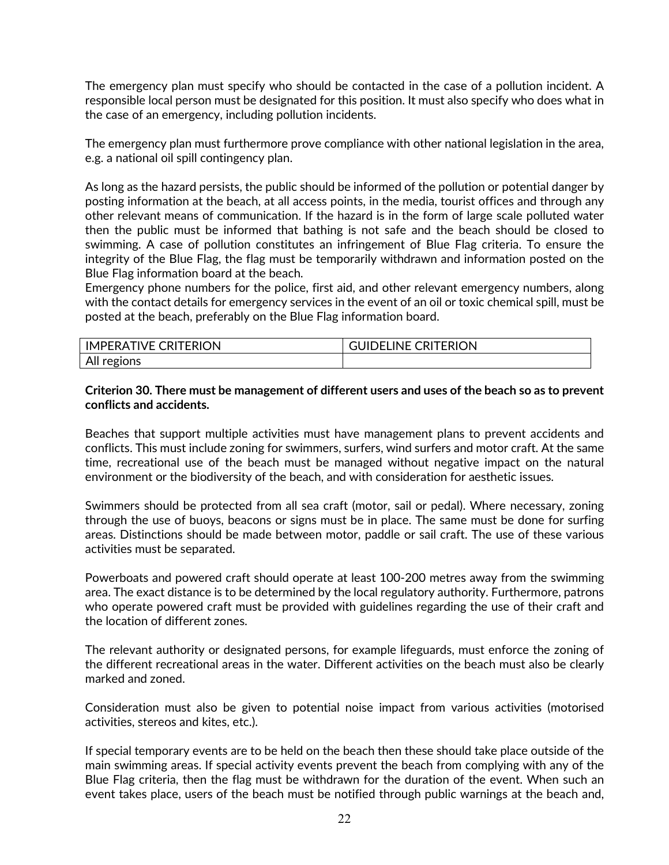The emergency plan must specify who should be contacted in the case of a pollution incident. A responsible local person must be designated for this position. It must also specify who does what in the case of an emergency, including pollution incidents.

The emergency plan must furthermore prove compliance with other national legislation in the area, e.g. a national oil spill contingency plan.

As long as the hazard persists, the public should be informed of the pollution or potential danger by posting information at the beach, at all access points, in the media, tourist offices and through any other relevant means of communication. If the hazard is in the form of large scale polluted water then the public must be informed that bathing is not safe and the beach should be closed to swimming. A case of pollution constitutes an infringement of Blue Flag criteria. To ensure the integrity of the Blue Flag, the flag must be temporarily withdrawn and information posted on the Blue Flag information board at the beach.

Emergency phone numbers for the police, first aid, and other relevant emergency numbers, along with the contact details for emergency services in the event of an oil or toxic chemical spill, must be posted at the beach, preferably on the Blue Flag information board.

| <b>IMPERATIVE CRITERION</b> | <b>DELINE CRITERION</b> |
|-----------------------------|-------------------------|
| All i<br>regions            |                         |

## **Criterion 30. There must be management of different users and uses of the beach so as to prevent conflicts and accidents.**

Beaches that support multiple activities must have management plans to prevent accidents and conflicts. This must include zoning for swimmers, surfers, wind surfers and motor craft. At the same time, recreational use of the beach must be managed without negative impact on the natural environment or the biodiversity of the beach, and with consideration for aesthetic issues.

Swimmers should be protected from all sea craft (motor, sail or pedal). Where necessary, zoning through the use of buoys, beacons or signs must be in place. The same must be done for surfing areas. Distinctions should be made between motor, paddle or sail craft. The use of these various activities must be separated.

Powerboats and powered craft should operate at least 100-200 metres away from the swimming area. The exact distance is to be determined by the local regulatory authority. Furthermore, patrons who operate powered craft must be provided with guidelines regarding the use of their craft and the location of different zones.

The relevant authority or designated persons, for example lifeguards, must enforce the zoning of the different recreational areas in the water. Different activities on the beach must also be clearly marked and zoned.

Consideration must also be given to potential noise impact from various activities (motorised activities, stereos and kites, etc.).

If special temporary events are to be held on the beach then these should take place outside of the main swimming areas. If special activity events prevent the beach from complying with any of the Blue Flag criteria, then the flag must be withdrawn for the duration of the event. When such an event takes place, users of the beach must be notified through public warnings at the beach and,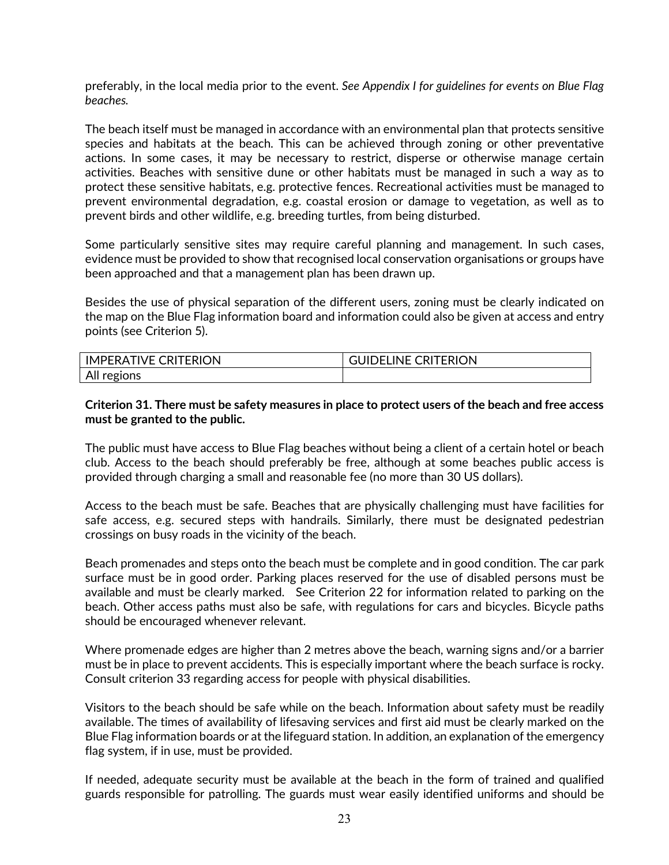preferably, in the local media prior to the event. *See Appendix I for guidelines for events on Blue Flag beaches.* 

The beach itself must be managed in accordance with an environmental plan that protects sensitive species and habitats at the beach. This can be achieved through zoning or other preventative actions. In some cases, it may be necessary to restrict, disperse or otherwise manage certain activities. Beaches with sensitive dune or other habitats must be managed in such a way as to protect these sensitive habitats, e.g. protective fences. Recreational activities must be managed to prevent environmental degradation, e.g. coastal erosion or damage to vegetation, as well as to prevent birds and other wildlife, e.g. breeding turtles, from being disturbed.

Some particularly sensitive sites may require careful planning and management. In such cases, evidence must be provided to show that recognised local conservation organisations or groups have been approached and that a management plan has been drawn up.

Besides the use of physical separation of the different users, zoning must be clearly indicated on the map on the Blue Flag information board and information could also be given at access and entry points (see Criterion 5).

| <b>TIVE CRITERION</b><br>IMPERA. | <b>CRITERION</b><br>LINE C<br>) – I |
|----------------------------------|-------------------------------------|
| All v<br>regions                 |                                     |

## **Criterion 31. There must be safety measures in place to protect users of the beach and free access must be granted to the public.**

The public must have access to Blue Flag beaches without being a client of a certain hotel or beach club. Access to the beach should preferably be free, although at some beaches public access is provided through charging a small and reasonable fee (no more than 30 US dollars).

Access to the beach must be safe. Beaches that are physically challenging must have facilities for safe access, e.g. secured steps with handrails. Similarly, there must be designated pedestrian crossings on busy roads in the vicinity of the beach.

Beach promenades and steps onto the beach must be complete and in good condition. The car park surface must be in good order. Parking places reserved for the use of disabled persons must be available and must be clearly marked. See Criterion 22 for information related to parking on the beach. Other access paths must also be safe, with regulations for cars and bicycles. Bicycle paths should be encouraged whenever relevant.

Where promenade edges are higher than 2 metres above the beach, warning signs and/or a barrier must be in place to prevent accidents. This is especially important where the beach surface is rocky. Consult criterion 33 regarding access for people with physical disabilities.

Visitors to the beach should be safe while on the beach. Information about safety must be readily available. The times of availability of lifesaving services and first aid must be clearly marked on the Blue Flag information boards or at the lifeguard station. In addition, an explanation of the emergency flag system, if in use, must be provided.

If needed, adequate security must be available at the beach in the form of trained and qualified guards responsible for patrolling. The guards must wear easily identified uniforms and should be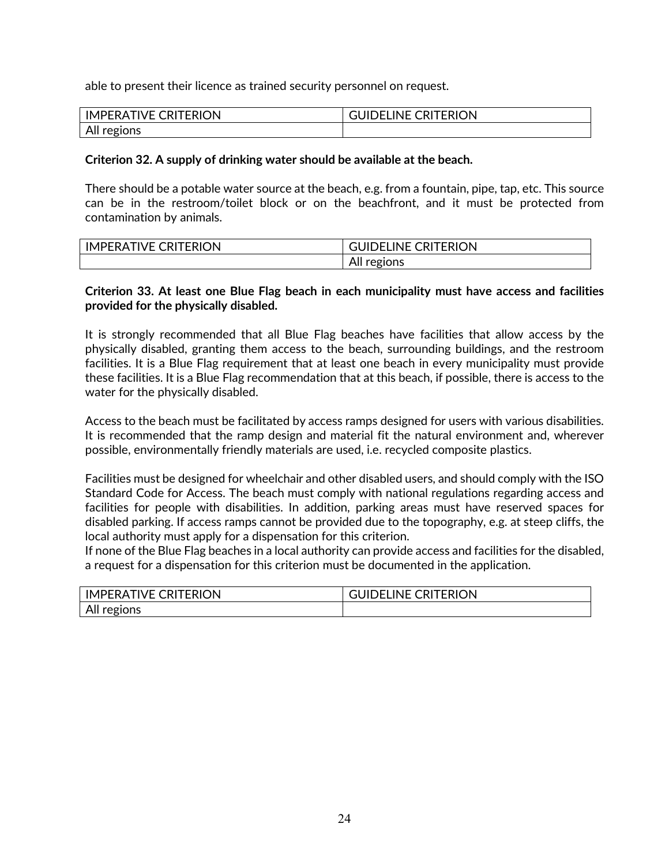able to present their licence as trained security personnel on request.

| <b>IMPERATIVE CRITERION</b> | <b>GUIDELINE CRITERION</b> |
|-----------------------------|----------------------------|
| All regions                 |                            |

## **Criterion 32. A supply of drinking water should be available at the beach.**

There should be a potable water source at the beach, e.g. from a fountain, pipe, tap, etc. This source can be in the restroom/toilet block or on the beachfront, and it must be protected from contamination by animals.

| <b>CRITERION</b> | <b>CRITERION</b>      |  |  |  |  |
|------------------|-----------------------|--|--|--|--|
| IVF (            | <b>INE</b>            |  |  |  |  |
| <b>IMPERAT</b>   | )⊢                    |  |  |  |  |
|                  | :ions<br>eς<br>AILLES |  |  |  |  |

## **Criterion 33. At least one Blue Flag beach in each municipality must have access and facilities provided for the physically disabled.**

It is strongly recommended that all Blue Flag beaches have facilities that allow access by the physically disabled, granting them access to the beach, surrounding buildings, and the restroom facilities. It is a Blue Flag requirement that at least one beach in every municipality must provide these facilities. It is a Blue Flag recommendation that at this beach, if possible, there is access to the water for the physically disabled.

Access to the beach must be facilitated by access ramps designed for users with various disabilities. It is recommended that the ramp design and material fit the natural environment and, wherever possible, environmentally friendly materials are used, i.e. recycled composite plastics.

Facilities must be designed for wheelchair and other disabled users, and should comply with the ISO Standard Code for Access. The beach must comply with national regulations regarding access and facilities for people with disabilities. In addition, parking areas must have reserved spaces for disabled parking. If access ramps cannot be provided due to the topography, e.g. at steep cliffs, the local authority must apply for a dispensation for this criterion.

If none of the Blue Flag beaches in a local authority can provide access and facilities for the disabled, a request for a dispensation for this criterion must be documented in the application.

| <b>CRITERION</b><br>IVF (<br>IM<br>IPERA. | $- - -$<br><b>TERION</b><br>RL<br>.INE<br>۰ь<br>سال<br>÷ |  |  |  |  |  |
|-------------------------------------------|----------------------------------------------------------|--|--|--|--|--|
| All regions                               |                                                          |  |  |  |  |  |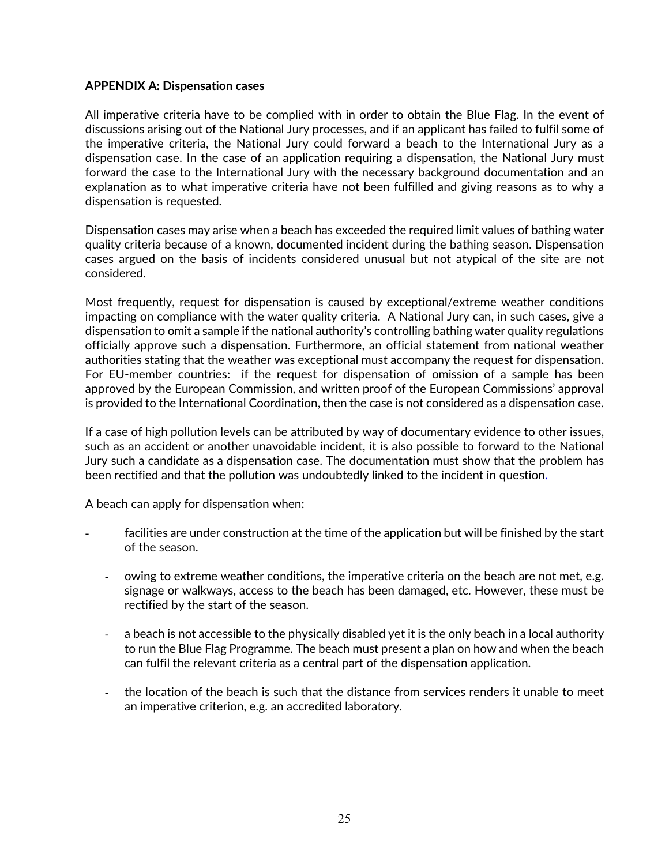## **APPENDIX A: Dispensation cases**

All imperative criteria have to be complied with in order to obtain the Blue Flag. In the event of discussions arising out of the National Jury processes, and if an applicant has failed to fulfil some of the imperative criteria, the National Jury could forward a beach to the International Jury as a dispensation case. In the case of an application requiring a dispensation, the National Jury must forward the case to the International Jury with the necessary background documentation and an explanation as to what imperative criteria have not been fulfilled and giving reasons as to why a dispensation is requested.

Dispensation cases may arise when a beach has exceeded the required limit values of bathing water quality criteria because of a known, documented incident during the bathing season. Dispensation cases argued on the basis of incidents considered unusual but not atypical of the site are not considered.

Most frequently, request for dispensation is caused by exceptional/extreme weather conditions impacting on compliance with the water quality criteria. A National Jury can, in such cases, give a dispensation to omit a sample if the national authority's controlling bathing water quality regulations officially approve such a dispensation. Furthermore, an official statement from national weather authorities stating that the weather was exceptional must accompany the request for dispensation. For EU-member countries: if the request for dispensation of omission of a sample has been approved by the European Commission, and written proof of the European Commissions' approval is provided to the International Coordination, then the case is not considered as a dispensation case.

If a case of high pollution levels can be attributed by way of documentary evidence to other issues, such as an accident or another unavoidable incident, it is also possible to forward to the National Jury such a candidate as a dispensation case. The documentation must show that the problem has been rectified and that the pollution was undoubtedly linked to the incident in question.

A beach can apply for dispensation when:

- facilities are under construction at the time of the application but will be finished by the start of the season.
	- owing to extreme weather conditions, the imperative criteria on the beach are not met, e.g. signage or walkways, access to the beach has been damaged, etc. However, these must be rectified by the start of the season.
	- a beach is not accessible to the physically disabled yet it is the only beach in a local authority to run the Blue Flag Programme. The beach must present a plan on how and when the beach can fulfil the relevant criteria as a central part of the dispensation application.
	- the location of the beach is such that the distance from services renders it unable to meet an imperative criterion, e.g. an accredited laboratory.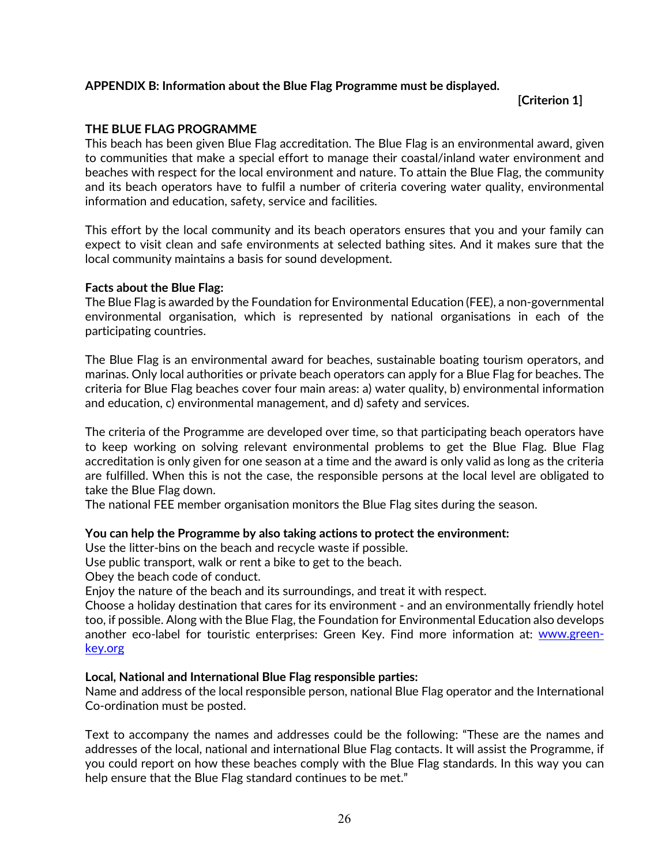## **APPENDIX B: Information about the Blue Flag Programme must be displayed.**

**[Criterion 1]**

## **THE BLUE FLAG PROGRAMME**

This beach has been given Blue Flag accreditation. The Blue Flag is an environmental award, given to communities that make a special effort to manage their coastal/inland water environment and beaches with respect for the local environment and nature. To attain the Blue Flag, the community and its beach operators have to fulfil a number of criteria covering water quality, environmental information and education, safety, service and facilities.

This effort by the local community and its beach operators ensures that you and your family can expect to visit clean and safe environments at selected bathing sites. And it makes sure that the local community maintains a basis for sound development.

## **Facts about the Blue Flag:**

The Blue Flag is awarded by the Foundation for Environmental Education (FEE), a non-governmental environmental organisation, which is represented by national organisations in each of the participating countries.

The Blue Flag is an environmental award for beaches, sustainable boating tourism operators, and marinas. Only local authorities or private beach operators can apply for a Blue Flag for beaches. The criteria for Blue Flag beaches cover four main areas: a) water quality, b) environmental information and education, c) environmental management, and d) safety and services.

The criteria of the Programme are developed over time, so that participating beach operators have to keep working on solving relevant environmental problems to get the Blue Flag. Blue Flag accreditation is only given for one season at a time and the award is only valid as long as the criteria are fulfilled. When this is not the case, the responsible persons at the local level are obligated to take the Blue Flag down.

The national FEE member organisation monitors the Blue Flag sites during the season.

## **You can help the Programme by also taking actions to protect the environment:**

Use the litter-bins on the beach and recycle waste if possible.

Use public transport, walk or rent a bike to get to the beach.

Obey the beach code of conduct.

Enjoy the nature of the beach and its surroundings, and treat it with respect.

Choose a holiday destination that cares for its environment - and an environmentally friendly hotel too, if possible. Along with the Blue Flag, the Foundation for Environmental Education also develops another eco-label for touristic enterprises: Green Key. Find more information at: [www.green](http://www.green-key.org/)[key.org](http://www.green-key.org/)

## **Local, National and International Blue Flag responsible parties:**

Name and address of the local responsible person, national Blue Flag operator and the International Co-ordination must be posted.

Text to accompany the names and addresses could be the following: "These are the names and addresses of the local, national and international Blue Flag contacts. It will assist the Programme, if you could report on how these beaches comply with the Blue Flag standards. In this way you can help ensure that the Blue Flag standard continues to be met."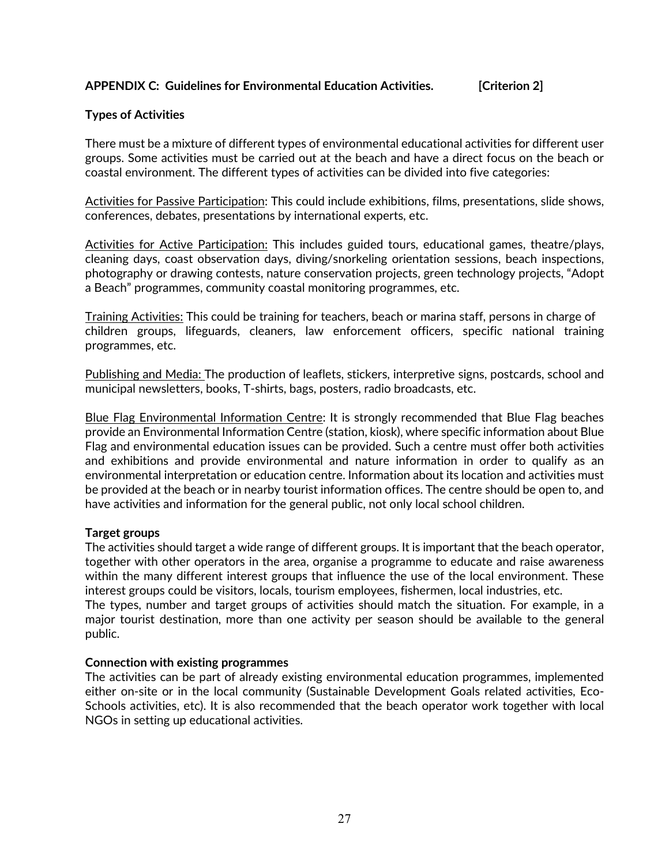## **APPENDIX C: Guidelines for Environmental Education Activities. [Criterion 2]**

## **Types of Activities**

There must be a mixture of different types of environmental educational activities for different user groups. Some activities must be carried out at the beach and have a direct focus on the beach or coastal environment. The different types of activities can be divided into five categories:

Activities for Passive Participation: This could include exhibitions, films, presentations, slide shows, conferences, debates, presentations by international experts, etc.

Activities for Active Participation: This includes guided tours, educational games, theatre/plays, cleaning days, coast observation days, diving/snorkeling orientation sessions, beach inspections, photography or drawing contests, nature conservation projects, green technology projects, "Adopt a Beach" programmes, community coastal monitoring programmes, etc.

Training Activities: This could be training for teachers, beach or marina staff, persons in charge of children groups, lifeguards, cleaners, law enforcement officers, specific national training programmes, etc.

Publishing and Media: The production of leaflets, stickers, interpretive signs, postcards, school and municipal newsletters, books, T-shirts, bags, posters, radio broadcasts, etc.

Blue Flag Environmental Information Centre: It is strongly recommended that Blue Flag beaches provide an Environmental Information Centre (station, kiosk), where specific information about Blue Flag and environmental education issues can be provided. Such a centre must offer both activities and exhibitions and provide environmental and nature information in order to qualify as an environmental interpretation or education centre. Information about its location and activities must be provided at the beach or in nearby tourist information offices. The centre should be open to, and have activities and information for the general public, not only local school children.

## **Target groups**

The activities should target a wide range of different groups. It is important that the beach operator, together with other operators in the area, organise a programme to educate and raise awareness within the many different interest groups that influence the use of the local environment. These interest groups could be visitors, locals, tourism employees, fishermen, local industries, etc.

The types, number and target groups of activities should match the situation. For example, in a major tourist destination, more than one activity per season should be available to the general public.

#### **Connection with existing programmes**

The activities can be part of already existing environmental education programmes, implemented either on-site or in the local community (Sustainable Development Goals related activities, Eco-Schools activities, etc). It is also recommended that the beach operator work together with local NGOs in setting up educational activities.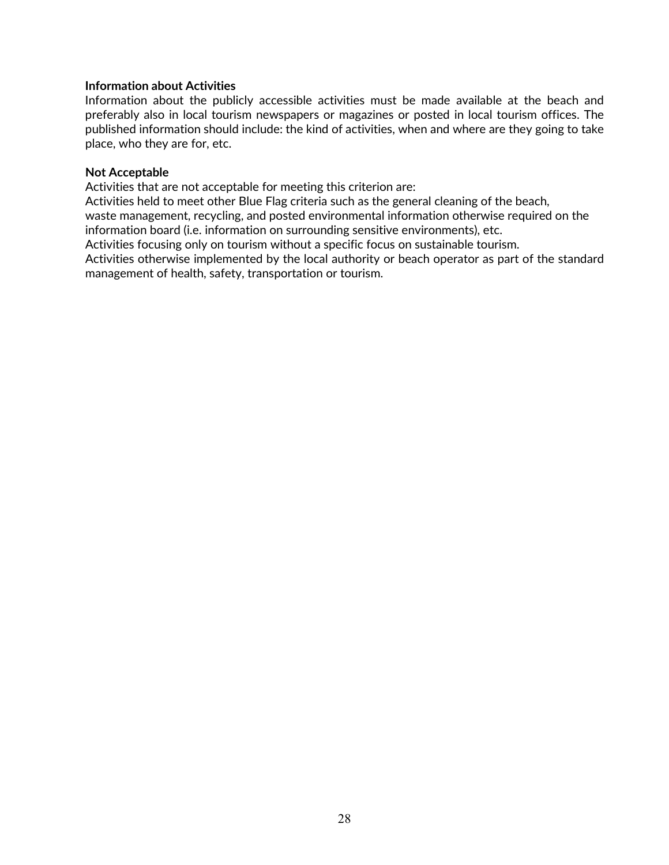## **Information about Activities**

Information about the publicly accessible activities must be made available at the beach and preferably also in local tourism newspapers or magazines or posted in local tourism offices. The published information should include: the kind of activities, when and where are they going to take place, who they are for, etc.

#### **Not Acceptable**

Activities that are not acceptable for meeting this criterion are:

Activities held to meet other Blue Flag criteria such as the general cleaning of the beach, waste management, recycling, and posted environmental information otherwise required on the information board (i.e. information on surrounding sensitive environments), etc.

Activities focusing only on tourism without a specific focus on sustainable tourism.

Activities otherwise implemented by the local authority or beach operator as part of the standard management of health, safety, transportation or tourism.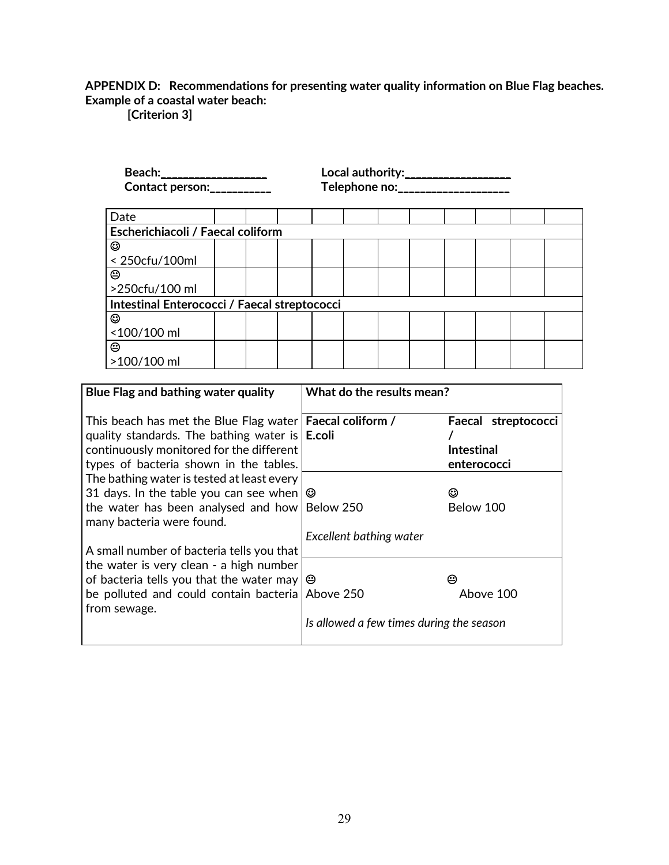## **APPENDIX D: Recommendations for presenting water quality information on Blue Flag beaches. Example of a coastal water beach:**

**[Criterion 3]**

| Beach: ____________________<br>Contact person: | Local authority:__________________<br>Telephone no: ___________________ |  |  |  |  |  |  |  |  |  |
|------------------------------------------------|-------------------------------------------------------------------------|--|--|--|--|--|--|--|--|--|
| Date                                           |                                                                         |  |  |  |  |  |  |  |  |  |
| Escherichiacoli / Faecal coliform              |                                                                         |  |  |  |  |  |  |  |  |  |
| ☺                                              |                                                                         |  |  |  |  |  |  |  |  |  |
| < 250cfu/100ml                                 |                                                                         |  |  |  |  |  |  |  |  |  |
| ☺                                              |                                                                         |  |  |  |  |  |  |  |  |  |
| >250cfu/100 ml                                 |                                                                         |  |  |  |  |  |  |  |  |  |
|                                                | Intestinal Enterococci / Faecal streptococci                            |  |  |  |  |  |  |  |  |  |
| ☺                                              |                                                                         |  |  |  |  |  |  |  |  |  |
| <100/100 ml                                    |                                                                         |  |  |  |  |  |  |  |  |  |
| ☺                                              |                                                                         |  |  |  |  |  |  |  |  |  |
| >100/100 ml                                    |                                                                         |  |  |  |  |  |  |  |  |  |

| Blue Flag and bathing water quality                                                                                                                                                                                    | What do the results mean?                |                                                         |
|------------------------------------------------------------------------------------------------------------------------------------------------------------------------------------------------------------------------|------------------------------------------|---------------------------------------------------------|
| This beach has met the Blue Flag water   Faecal coliform /<br>quality standards. The bathing water is $\mathsf{E}.\mathsf{coli}$<br>continuously monitored for the different<br>types of bacteria shown in the tables. |                                          | Faecal streptococci<br><b>Intestinal</b><br>enterococci |
| The bathing water is tested at least every<br>31 days. In the table you can see when $\circledcirc$<br>the water has been analysed and how   Below 250<br>many bacteria were found.                                    | Excellent bathing water                  | ☺<br>Below 100                                          |
| A small number of bacteria tells you that<br>the water is very clean - a high number                                                                                                                                   |                                          |                                                         |
| of bacteria tells you that the water may $\Theta$<br>be polluted and could contain bacteria Above 250<br>from sewage.                                                                                                  |                                          | ⊝<br>Above 100                                          |
|                                                                                                                                                                                                                        | Is allowed a few times during the season |                                                         |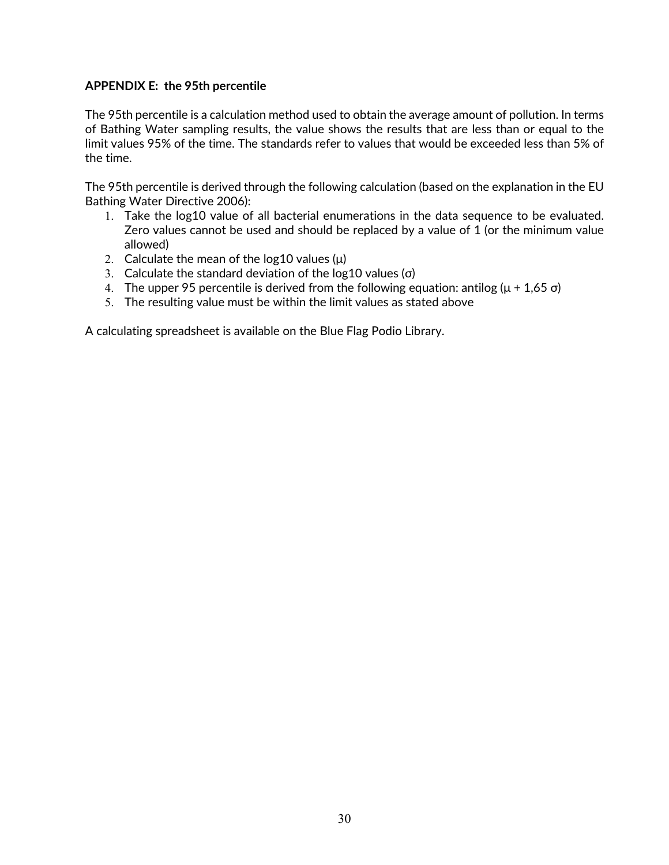## **APPENDIX E: the 95th percentile**

The 95th percentile is a calculation method used to obtain the average amount of pollution. In terms of Bathing Water sampling results, the value shows the results that are less than or equal to the limit values 95% of the time. The standards refer to values that would be exceeded less than 5% of the time.

The 95th percentile is derived through the following calculation (based on the explanation in the EU Bathing Water Directive 2006):

- 1. Take the log10 value of all bacterial enumerations in the data sequence to be evaluated. Zero values cannot be used and should be replaced by a value of 1 (or the minimum value allowed)
- 2. Calculate the mean of the log10 values  $(\mu)$
- 3. Calculate the standard deviation of the log10 values ( $\sigma$ )
- 4. The upper 95 percentile is derived from the following equation: antilog ( $\mu$  + 1,65 σ)
- 5. The resulting value must be within the limit values as stated above

A calculating spreadsheet is available on the Blue Flag Podio Library.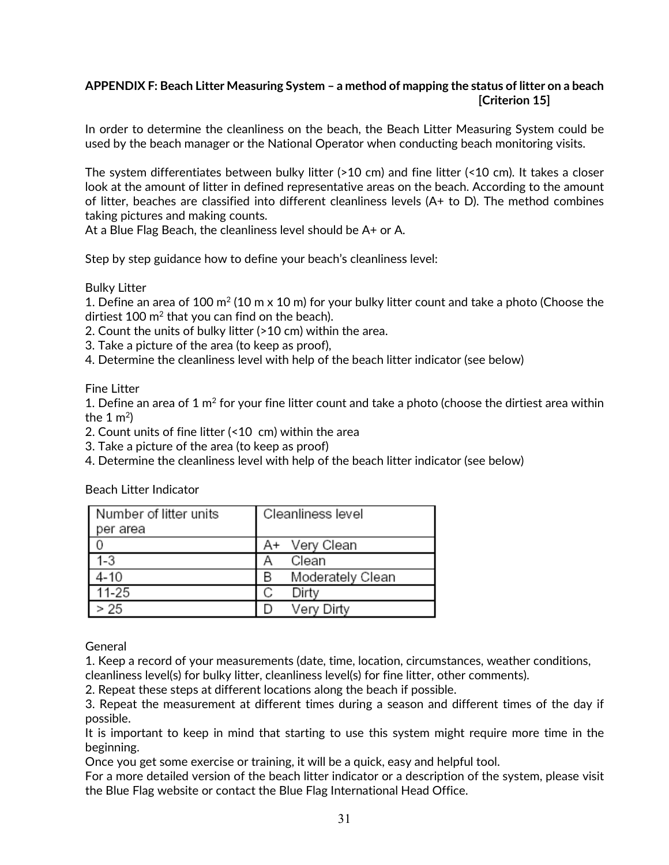## **APPENDIX F: Beach Litter Measuring System – a method of mapping the status of litter on a beach [Criterion 15]**

In order to determine the cleanliness on the beach, the Beach Litter Measuring System could be used by the beach manager or the National Operator when conducting beach monitoring visits.

The system differentiates between bulky litter (>10 cm) and fine litter (<10 cm). It takes a closer look at the amount of litter in defined representative areas on the beach. According to the amount of litter, beaches are classified into different cleanliness levels (A+ to D). The method combines taking pictures and making counts.

At a Blue Flag Beach, the cleanliness level should be A+ or A.

Step by step guidance how to define your beach's cleanliness level:

Bulky Litter

1. Define an area of 100  $m^2$  (10 m x 10 m) for your bulky litter count and take a photo (Choose the dirtiest 100  $m^2$  that you can find on the beach).

2. Count the units of bulky litter (>10 cm) within the area.

3. Take a picture of the area (to keep as proof),

4. Determine the cleanliness level with help of the beach litter indicator (see below)

Fine Litter

1. Define an area of 1  $m<sup>2</sup>$  for your fine litter count and take a photo (choose the dirtiest area within the  $1 \text{ m}^2$ 

2. Count units of fine litter (<10 cm) within the area

3. Take a picture of the area (to keep as proof)

4. Determine the cleanliness level with help of the beach litter indicator (see below)

Beach Litter Indicator

| Number of litter units | Cleanliness level     |  |
|------------------------|-----------------------|--|
| per area               |                       |  |
|                        | A+ Very Clean         |  |
| 1-3                    | Clean<br>А            |  |
| 4-10                   | Moderately Clean<br>B |  |
| $11 - 25$              | Dirty<br>С            |  |
| > 25                   | Very Dirty            |  |

General

1. Keep a record of your measurements (date, time, location, circumstances, weather conditions,

cleanliness level(s) for bulky litter, cleanliness level(s) for fine litter, other comments).

2. Repeat these steps at different locations along the beach if possible.

3. Repeat the measurement at different times during a season and different times of the day if possible.

It is important to keep in mind that starting to use this system might require more time in the beginning.

Once you get some exercise or training, it will be a quick, easy and helpful tool.

For a more detailed version of the beach litter indicator or a description of the system, please visit the Blue Flag website or contact the Blue Flag International Head Office.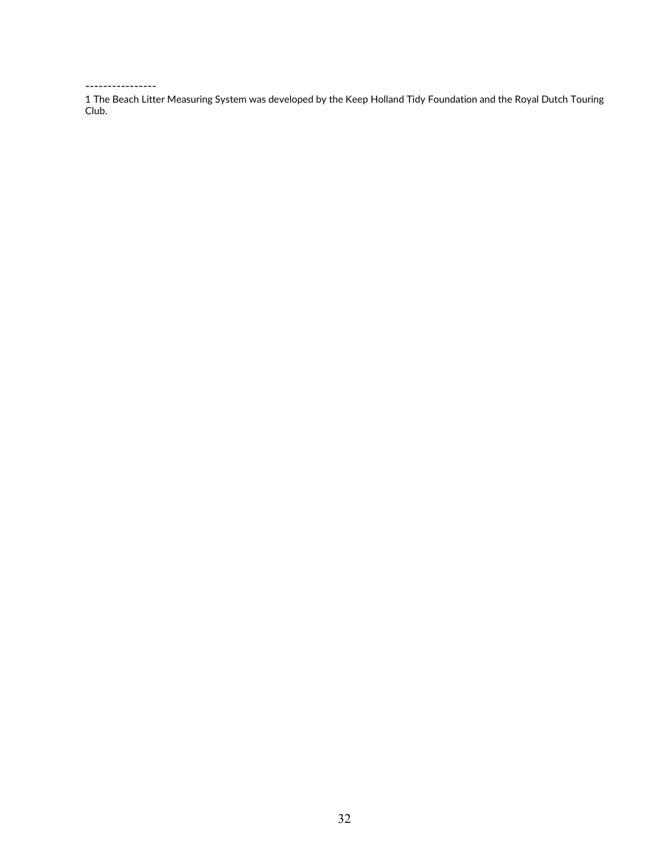#### ----------------

1 The Beach Litter Measuring System was developed by the Keep Holland Tidy Foundation and the Royal Dutch Touring Club.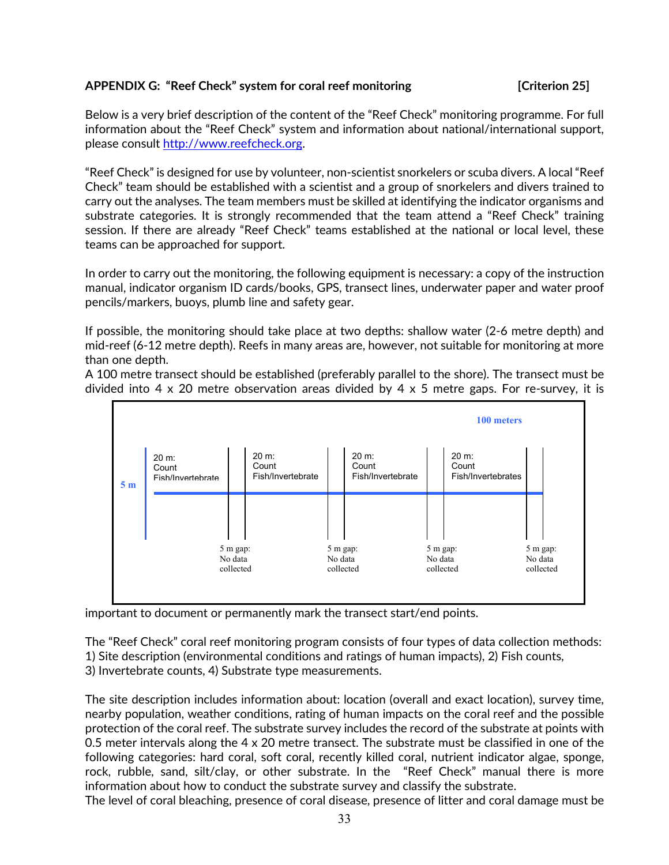## **APPENDIX G: "Reef Check" system for coral reef monitoring [Criterion 25]**

Below is a very brief description of the content of the "Reef Check" monitoring programme. For full information about the "Reef Check" system and information about national/international support, please consult [http://www.reefcheck.org.](http://www.reefcheck.org/)

"Reef Check" is designed for use by volunteer, non-scientist snorkelers or scuba divers. A local "Reef Check" team should be established with a scientist and a group of snorkelers and divers trained to carry out the analyses. The team members must be skilled at identifying the indicator organisms and substrate categories. It is strongly recommended that the team attend a "Reef Check" training session. If there are already "Reef Check" teams established at the national or local level, these teams can be approached for support.

In order to carry out the monitoring, the following equipment is necessary: a copy of the instruction manual, indicator organism ID cards/books, GPS, transect lines, underwater paper and water proof pencils/markers, buoys, plumb line and safety gear.

If possible, the monitoring should take place at two depths: shallow water (2-6 metre depth) and mid-reef (6-12 metre depth). Reefs in many areas are, however, not suitable for monitoring at more than one depth.

A 100 metre transect should be established (preferably parallel to the shore). The transect must be divided into 4 x 20 metre observation areas divided by 4 x 5 metre gaps. For re-survey, it is



important to document or permanently mark the transect start/end points.

The "Reef Check" coral reef monitoring program consists of four types of data collection methods: 1) Site description (environmental conditions and ratings of human impacts), 2) Fish counts,

3) Invertebrate counts, 4) Substrate type measurements.

The site description includes information about: location (overall and exact location), survey time, nearby population, weather conditions, rating of human impacts on the coral reef and the possible protection of the coral reef. The substrate survey includes the record of the substrate at points with 0.5 meter intervals along the 4 x 20 metre transect. The substrate must be classified in one of the following categories: hard coral, soft coral, recently killed coral, nutrient indicator algae, sponge, rock, rubble, sand, silt/clay, or other substrate. In the "Reef Check" manual there is more information about how to conduct the substrate survey and classify the substrate.

The level of coral bleaching, presence of coral disease, presence of litter and coral damage must be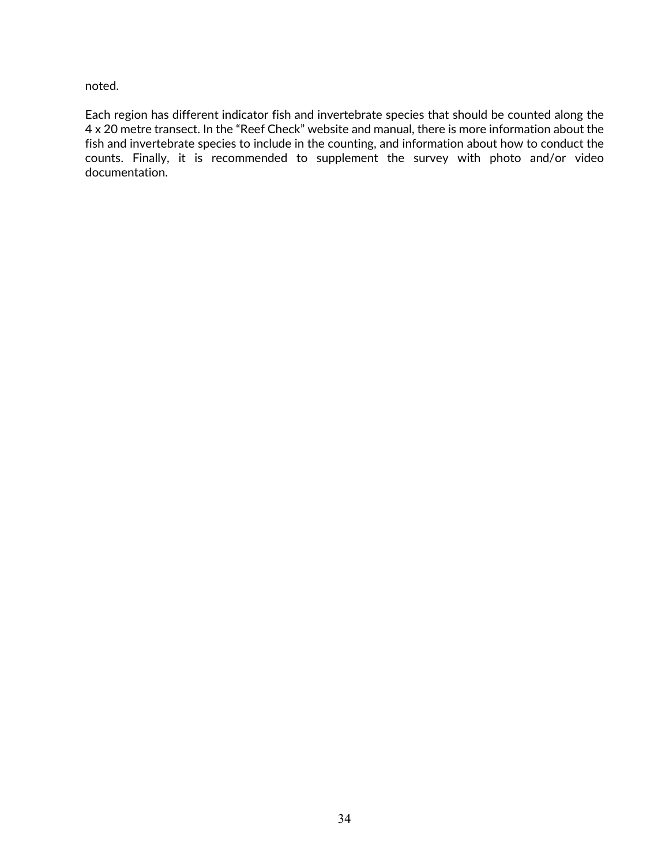noted.

Each region has different indicator fish and invertebrate species that should be counted along the 4 x 20 metre transect. In the "Reef Check" website and manual, there is more information about the fish and invertebrate species to include in the counting, and information about how to conduct the counts. Finally, it is recommended to supplement the survey with photo and/or video documentation.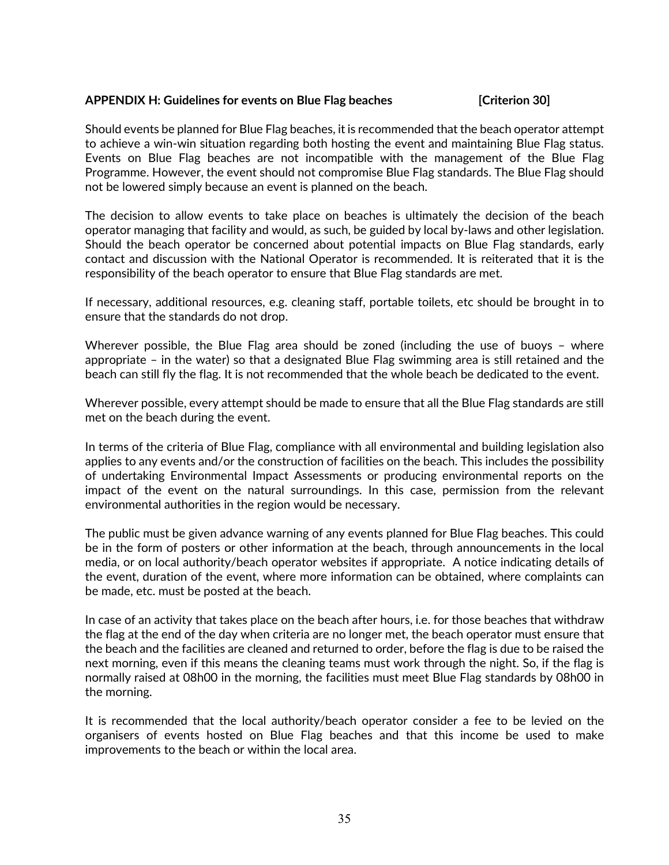## **APPENDIX H: Guidelines for events on Blue Flag beaches [Criterion 30]**

Should events be planned for Blue Flag beaches, it is recommended that the beach operator attempt to achieve a win-win situation regarding both hosting the event and maintaining Blue Flag status. Events on Blue Flag beaches are not incompatible with the management of the Blue Flag Programme. However, the event should not compromise Blue Flag standards. The Blue Flag should not be lowered simply because an event is planned on the beach.

The decision to allow events to take place on beaches is ultimately the decision of the beach operator managing that facility and would, as such, be guided by local by-laws and other legislation. Should the beach operator be concerned about potential impacts on Blue Flag standards, early contact and discussion with the National Operator is recommended. It is reiterated that it is the responsibility of the beach operator to ensure that Blue Flag standards are met.

If necessary, additional resources, e.g. cleaning staff, portable toilets, etc should be brought in to ensure that the standards do not drop.

Wherever possible, the Blue Flag area should be zoned (including the use of buoys – where appropriate – in the water) so that a designated Blue Flag swimming area is still retained and the beach can still fly the flag. It is not recommended that the whole beach be dedicated to the event.

Wherever possible, every attempt should be made to ensure that all the Blue Flag standards are still met on the beach during the event.

In terms of the criteria of Blue Flag, compliance with all environmental and building legislation also applies to any events and/or the construction of facilities on the beach. This includes the possibility of undertaking Environmental Impact Assessments or producing environmental reports on the impact of the event on the natural surroundings. In this case, permission from the relevant environmental authorities in the region would be necessary.

The public must be given advance warning of any events planned for Blue Flag beaches. This could be in the form of posters or other information at the beach, through announcements in the local media, or on local authority/beach operator websites if appropriate. A notice indicating details of the event, duration of the event, where more information can be obtained, where complaints can be made, etc. must be posted at the beach.

In case of an activity that takes place on the beach after hours, i.e. for those beaches that withdraw the flag at the end of the day when criteria are no longer met, the beach operator must ensure that the beach and the facilities are cleaned and returned to order, before the flag is due to be raised the next morning, even if this means the cleaning teams must work through the night. So, if the flag is normally raised at 08h00 in the morning, the facilities must meet Blue Flag standards by 08h00 in the morning.

It is recommended that the local authority/beach operator consider a fee to be levied on the organisers of events hosted on Blue Flag beaches and that this income be used to make improvements to the beach or within the local area.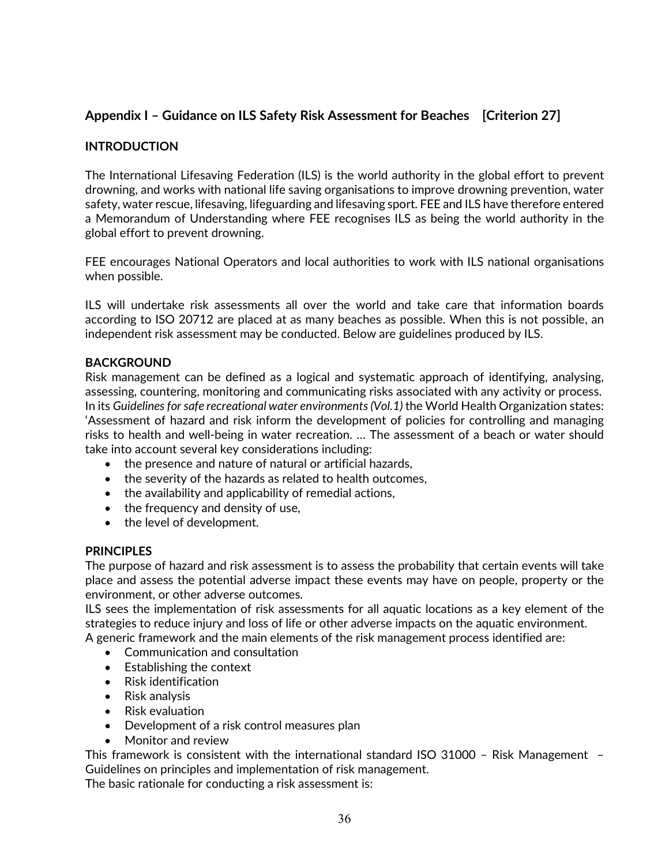## **Appendix I – Guidance on ILS Safety Risk Assessment for Beaches [Criterion 27]**

## **INTRODUCTION**

The International Lifesaving Federation (ILS) is the world authority in the global effort to prevent drowning, and works with national life saving organisations to improve drowning prevention, water safety, water rescue, lifesaving, lifeguarding and lifesaving sport. FEE and ILS have therefore entered a Memorandum of Understanding where FEE recognises ILS as being the world authority in the global effort to prevent drowning.

FEE encourages National Operators and local authorities to work with ILS national organisations when possible.

ILS will undertake risk assessments all over the world and take care that information boards according to ISO 20712 are placed at as many beaches as possible. When this is not possible, an independent risk assessment may be conducted. Below are guidelines produced by ILS.

## **BACKGROUND**

Risk management can be defined as a logical and systematic approach of identifying, analysing, assessing, countering, monitoring and communicating risks associated with any activity or process. In its *Guidelines for safe recreational water environments (Vol.1)* the World Health Organization states: 'Assessment of hazard and risk inform the development of policies for controlling and managing risks to health and well-being in water recreation. … The assessment of a beach or water should take into account several key considerations including:

- the presence and nature of natural or artificial hazards,
- the severity of the hazards as related to health outcomes,
- the availability and applicability of remedial actions,
- the frequency and density of use,
- the level of development.

## **PRINCIPLES**

The purpose of hazard and risk assessment is to assess the probability that certain events will take place and assess the potential adverse impact these events may have on people, property or the environment, or other adverse outcomes.

ILS sees the implementation of risk assessments for all aquatic locations as a key element of the strategies to reduce injury and loss of life or other adverse impacts on the aquatic environment. A generic framework and the main elements of the risk management process identified are:

- Communication and consultation
- Establishing the context
- Risk identification
- Risk analysis
- Risk evaluation
- Development of a risk control measures plan
- Monitor and review

This framework is consistent with the international standard ISO 31000 – Risk Management – Guidelines on principles and implementation of risk management.

The basic rationale for conducting a risk assessment is: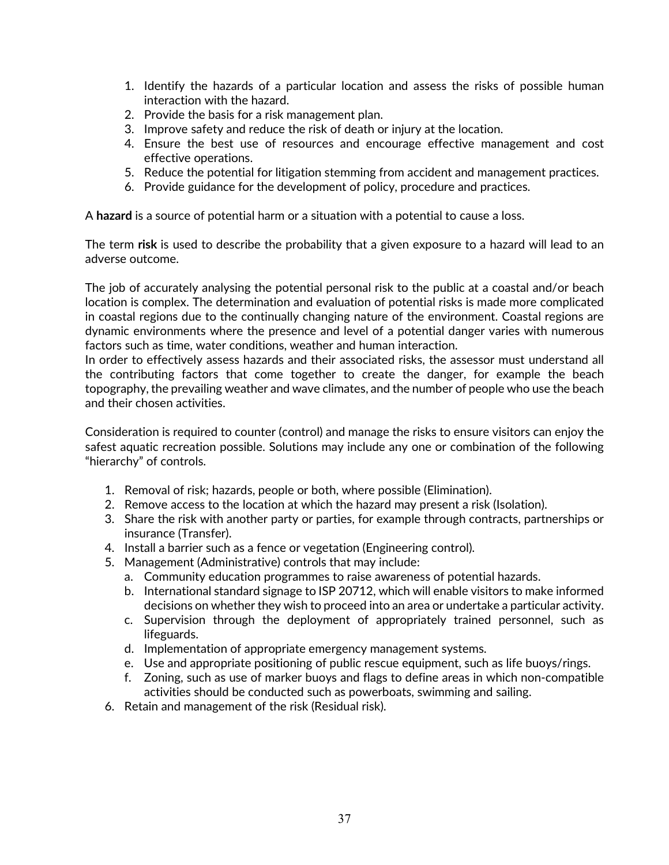- 1. Identify the hazards of a particular location and assess the risks of possible human interaction with the hazard.
- 2. Provide the basis for a risk management plan.
- 3. Improve safety and reduce the risk of death or injury at the location.
- 4. Ensure the best use of resources and encourage effective management and cost effective operations.
- 5. Reduce the potential for litigation stemming from accident and management practices.
- 6. Provide guidance for the development of policy, procedure and practices.

A **hazard** is a source of potential harm or a situation with a potential to cause a loss.

The term **risk** is used to describe the probability that a given exposure to a hazard will lead to an adverse outcome.

The job of accurately analysing the potential personal risk to the public at a coastal and/or beach location is complex. The determination and evaluation of potential risks is made more complicated in coastal regions due to the continually changing nature of the environment. Coastal regions are dynamic environments where the presence and level of a potential danger varies with numerous factors such as time, water conditions, weather and human interaction.

In order to effectively assess hazards and their associated risks, the assessor must understand all the contributing factors that come together to create the danger, for example the beach topography, the prevailing weather and wave climates, and the number of people who use the beach and their chosen activities.

Consideration is required to counter (control) and manage the risks to ensure visitors can enjoy the safest aquatic recreation possible. Solutions may include any one or combination of the following "hierarchy" of controls.

- 1. Removal of risk; hazards, people or both, where possible (Elimination).
- 2. Remove access to the location at which the hazard may present a risk (Isolation).
- 3. Share the risk with another party or parties, for example through contracts, partnerships or insurance (Transfer).
- 4. Install a barrier such as a fence or vegetation (Engineering control).
- 5. Management (Administrative) controls that may include:
	- a. Community education programmes to raise awareness of potential hazards.
	- b. International standard signage to ISP 20712, which will enable visitors to make informed decisions on whether they wish to proceed into an area or undertake a particular activity.
	- c. Supervision through the deployment of appropriately trained personnel, such as lifeguards.
	- d. Implementation of appropriate emergency management systems.
	- e. Use and appropriate positioning of public rescue equipment, such as life buoys/rings.
	- f. Zoning, such as use of marker buoys and flags to define areas in which non-compatible activities should be conducted such as powerboats, swimming and sailing.
- 6. Retain and management of the risk (Residual risk).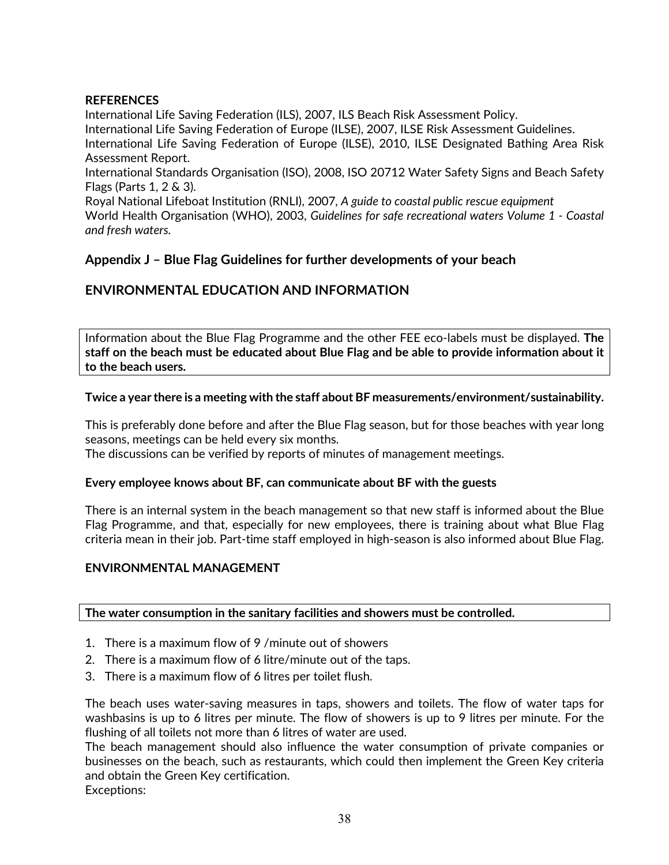## **REFERENCES**

International Life Saving Federation (ILS), 2007, ILS Beach Risk Assessment Policy. International Life Saving Federation of Europe (ILSE), 2007, ILSE Risk Assessment Guidelines. International Life Saving Federation of Europe (ILSE), 2010, ILSE Designated Bathing Area Risk Assessment Report.

International Standards Organisation (ISO), 2008, ISO 20712 Water Safety Signs and Beach Safety Flags (Parts 1, 2 & 3).

Royal National Lifeboat Institution (RNLI), 2007*, A guide to coastal public rescue equipment* World Health Organisation (WHO), 2003, *Guidelines for safe recreational waters Volume 1 - Coastal and fresh waters.*

## **Appendix J – Blue Flag Guidelines for further developments of your beach**

## **ENVIRONMENTAL EDUCATION AND INFORMATION**

Information about the Blue Flag Programme and the other FEE eco-labels must be displayed. **The staff on the beach must be educated about Blue Flag and be able to provide information about it to the beach users.**

## **Twice a year there is a meeting with the staff about BF measurements/environment/sustainability.**

This is preferably done before and after the Blue Flag season, but for those beaches with year long seasons, meetings can be held every six months.

The discussions can be verified by reports of minutes of management meetings.

## **Every employee knows about BF, can communicate about BF with the guests**

There is an internal system in the beach management so that new staff is informed about the Blue Flag Programme, and that, especially for new employees, there is training about what Blue Flag criteria mean in their job. Part-time staff employed in high-season is also informed about Blue Flag.

## **ENVIRONMENTAL MANAGEMENT**

## **The water consumption in the sanitary facilities and showers must be controlled.**

- 1. There is a maximum flow of 9 /minute out of showers
- 2. There is a maximum flow of 6 litre/minute out of the taps.
- 3. There is a maximum flow of 6 litres per toilet flush.

The beach uses water-saving measures in taps, showers and toilets. The flow of water taps for washbasins is up to 6 litres per minute. The flow of showers is up to 9 litres per minute. For the flushing of all toilets not more than 6 litres of water are used.

The beach management should also influence the water consumption of private companies or businesses on the beach, such as restaurants, which could then implement the Green Key criteria and obtain the Green Key certification.

Exceptions: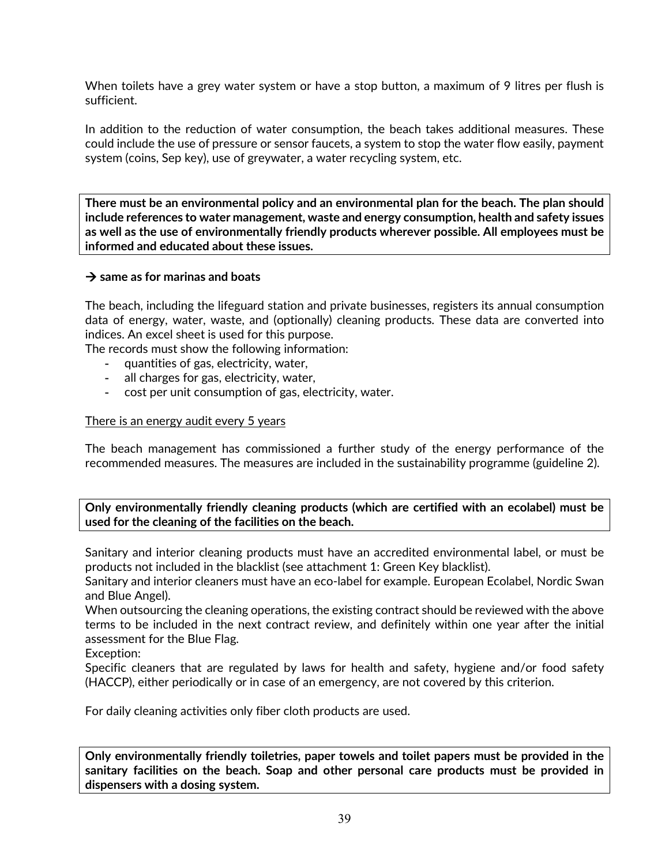When toilets have a grey water system or have a stop button, a maximum of 9 litres per flush is sufficient.

In addition to the reduction of water consumption, the beach takes additional measures. These could include the use of pressure or sensor faucets, a system to stop the water flow easily, payment system (coins, Sep key), use of greywater, a water recycling system, etc.

**There must be an environmental policy and an environmental plan for the beach. The plan should include references to water management, waste and energy consumption, health and safety issues as well as the use of environmentally friendly products wherever possible. All employees must be informed and educated about these issues.**

## **same as for marinas and boats**

The beach, including the lifeguard station and private businesses, registers its annual consumption data of energy, water, waste, and (optionally) cleaning products. These data are converted into indices. An excel sheet is used for this purpose.

The records must show the following information:

- quantities of gas, electricity, water,
- all charges for gas, electricity, water,
- cost per unit consumption of gas, electricity, water.

## There is an energy audit every 5 years

The beach management has commissioned a further study of the energy performance of the recommended measures. The measures are included in the sustainability programme (guideline 2).

## **Only environmentally friendly cleaning products (which are certified with an ecolabel) must be used for the cleaning of the facilities on the beach.**

Sanitary and interior cleaning products must have an accredited environmental label, or must be products not included in the blacklist (see attachment 1: Green Key blacklist).

Sanitary and interior cleaners must have an eco-label for example. European Ecolabel, Nordic Swan and Blue Angel).

When outsourcing the cleaning operations, the existing contract should be reviewed with the above terms to be included in the next contract review, and definitely within one year after the initial assessment for the Blue Flag.

Exception:

Specific cleaners that are regulated by laws for health and safety, hygiene and/or food safety (HACCP), either periodically or in case of an emergency, are not covered by this criterion.

For daily cleaning activities only fiber cloth products are used.

**Only environmentally friendly toiletries, paper towels and toilet papers must be provided in the sanitary facilities on the beach. Soap and other personal care products must be provided in dispensers with a dosing system.**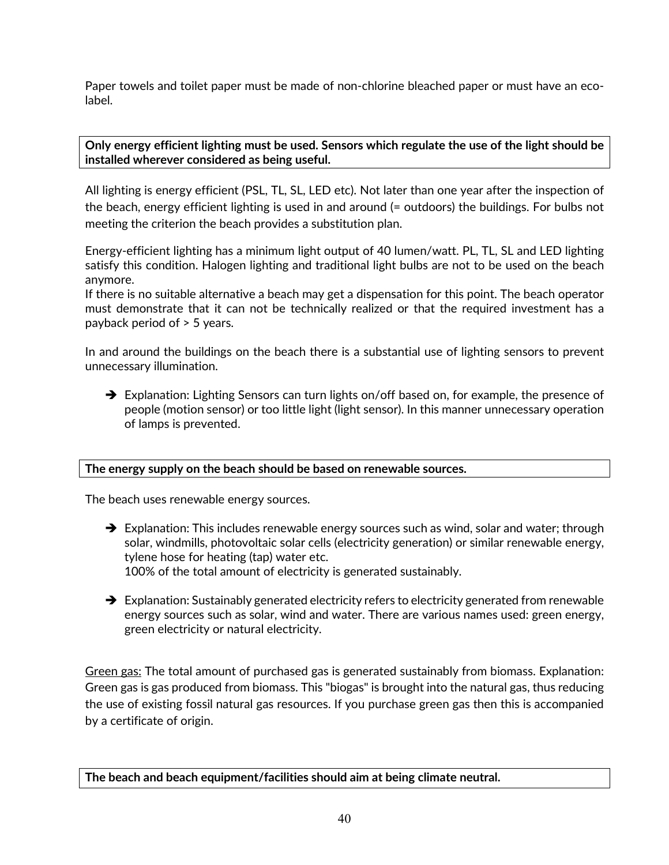Paper towels and toilet paper must be made of non-chlorine bleached paper or must have an ecolabel.

**Only energy efficient lighting must be used. Sensors which regulate the use of the light should be installed wherever considered as being useful.**

All lighting is energy efficient (PSL, TL, SL, LED etc). Not later than one year after the inspection of the beach, energy efficient lighting is used in and around (= outdoors) the buildings. For bulbs not meeting the criterion the beach provides a substitution plan.

Energy-efficient lighting has a minimum light output of 40 lumen/watt. PL, TL, SL and LED lighting satisfy this condition. Halogen lighting and traditional light bulbs are not to be used on the beach anymore.

If there is no suitable alternative a beach may get a dispensation for this point. The beach operator must demonstrate that it can not be technically realized or that the required investment has a payback period of > 5 years.

In and around the buildings on the beach there is a substantial use of lighting sensors to prevent unnecessary illumination.

→ Explanation: Lighting Sensors can turn lights on/off based on, for example, the presence of people (motion sensor) or too little light (light sensor). In this manner unnecessary operation of lamps is prevented.

## **The energy supply on the beach should be based on renewable sources.**

The beach uses renewable energy sources.

- $\rightarrow$  Explanation: This includes renewable energy sources such as wind, solar and water; through solar, windmills, photovoltaic solar cells (electricity generation) or similar renewable energy, tylene hose for heating (tap) water etc. 100% of the total amount of electricity is generated sustainably.
- $\rightarrow$  Explanation: Sustainably generated electricity refers to electricity generated from renewable energy sources such as solar, wind and water. There are various names used: green energy, green electricity or natural electricity.

Green gas: The total amount of purchased gas is generated sustainably from biomass. Explanation: Green gas is gas produced from biomass. This "biogas" is brought into the natural gas, thus reducing the use of existing fossil natural gas resources. If you purchase green gas then this is accompanied by a certificate of origin.

**The beach and beach equipment/facilities should aim at being climate neutral.**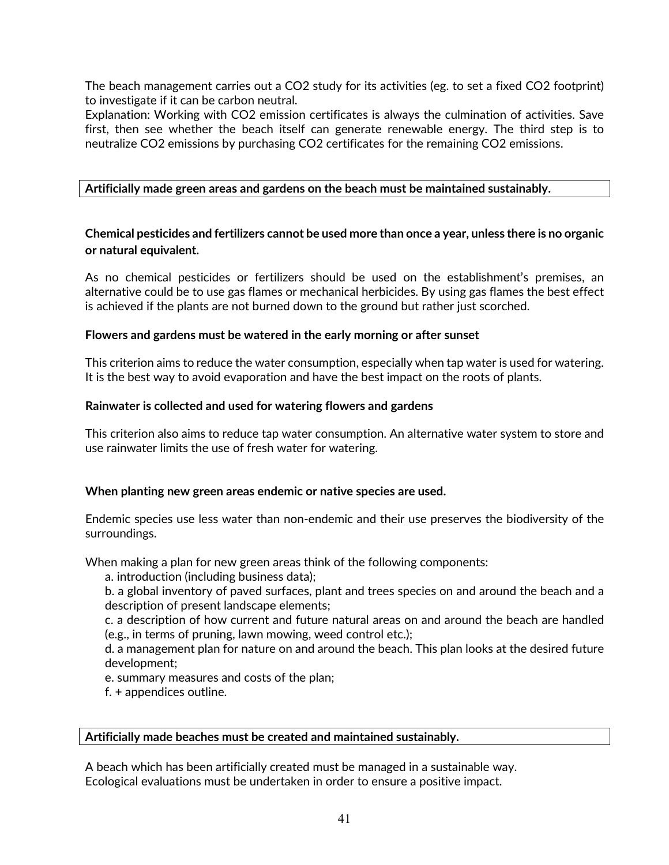The beach management carries out a CO2 study for its activities (eg. to set a fixed CO2 footprint) to investigate if it can be carbon neutral.

Explanation: Working with CO2 emission certificates is always the culmination of activities. Save first, then see whether the beach itself can generate renewable energy. The third step is to neutralize CO2 emissions by purchasing CO2 certificates for the remaining CO2 emissions.

## **Artificially made green areas and gardens on the beach must be maintained sustainably.**

## **Chemical pesticides and fertilizers cannot be used more than once a year, unless there is no organic or natural equivalent.**

As no chemical pesticides or fertilizers should be used on the establishment's premises, an alternative could be to use gas flames or mechanical herbicides. By using gas flames the best effect is achieved if the plants are not burned down to the ground but rather just scorched.

## **Flowers and gardens must be watered in the early morning or after sunset**

This criterion aims to reduce the water consumption, especially when tap water is used for watering. It is the best way to avoid evaporation and have the best impact on the roots of plants.

## **Rainwater is collected and used for watering flowers and gardens**

This criterion also aims to reduce tap water consumption. An alternative water system to store and use rainwater limits the use of fresh water for watering.

## **When planting new green areas endemic or native species are used.**

Endemic species use less water than non-endemic and their use preserves the biodiversity of the surroundings.

When making a plan for new green areas think of the following components:

a. introduction (including business data);

b. a global inventory of paved surfaces, plant and trees species on and around the beach and a description of present landscape elements;

c. a description of how current and future natural areas on and around the beach are handled (e.g., in terms of pruning, lawn mowing, weed control etc.);

d. a management plan for nature on and around the beach. This plan looks at the desired future development;

e. summary measures and costs of the plan;

f. + appendices outline.

## **Artificially made beaches must be created and maintained sustainably.**

A beach which has been artificially created must be managed in a sustainable way. Ecological evaluations must be undertaken in order to ensure a positive impact.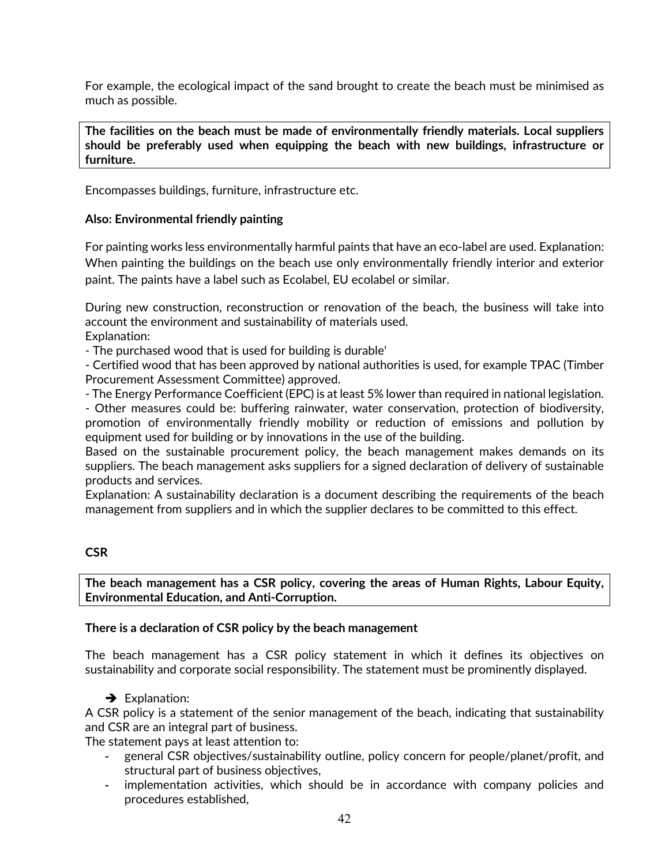For example, the ecological impact of the sand brought to create the beach must be minimised as much as possible.

**The facilities on the beach must be made of environmentally friendly materials. Local suppliers should be preferably used when equipping the beach with new buildings, infrastructure or furniture.**

Encompasses buildings, furniture, infrastructure etc.

## **Also: Environmental friendly painting**

For painting works less environmentally harmful paints that have an eco-label are used. Explanation: When painting the buildings on the beach use only environmentally friendly interior and exterior paint. The paints have a label such as Ecolabel, EU ecolabel or similar.

During new construction, reconstruction or renovation of the beach, the business will take into account the environment and sustainability of materials used.

Explanation:

- The purchased wood that is used for building is durable'

- Certified wood that has been approved by national authorities is used, for example TPAC (Timber Procurement Assessment Committee) approved.

- The Energy Performance Coefficient (EPC) is at least 5% lower than required in national legislation.

- Other measures could be: buffering rainwater, water conservation, protection of biodiversity, promotion of environmentally friendly mobility or reduction of emissions and pollution by equipment used for building or by innovations in the use of the building.

Based on the sustainable procurement policy, the beach management makes demands on its suppliers. The beach management asks suppliers for a signed declaration of delivery of sustainable products and services.

Explanation: A sustainability declaration is a document describing the requirements of the beach management from suppliers and in which the supplier declares to be committed to this effect.

## **CSR**

**The beach management has a CSR policy, covering the areas of Human Rights, Labour Equity, Environmental Education, and Anti-Corruption.** 

## **There is a declaration of CSR policy by the beach management**

The beach management has a CSR policy statement in which it defines its objectives on sustainability and corporate social responsibility. The statement must be prominently displayed.

 $\rightarrow$  Explanation:

A CSR policy is a statement of the senior management of the beach, indicating that sustainability and CSR are an integral part of business.

The statement pays at least attention to:

- general CSR objectives/sustainability outline, policy concern for people/planet/profit, and structural part of business objectives,
- implementation activities, which should be in accordance with company policies and procedures established,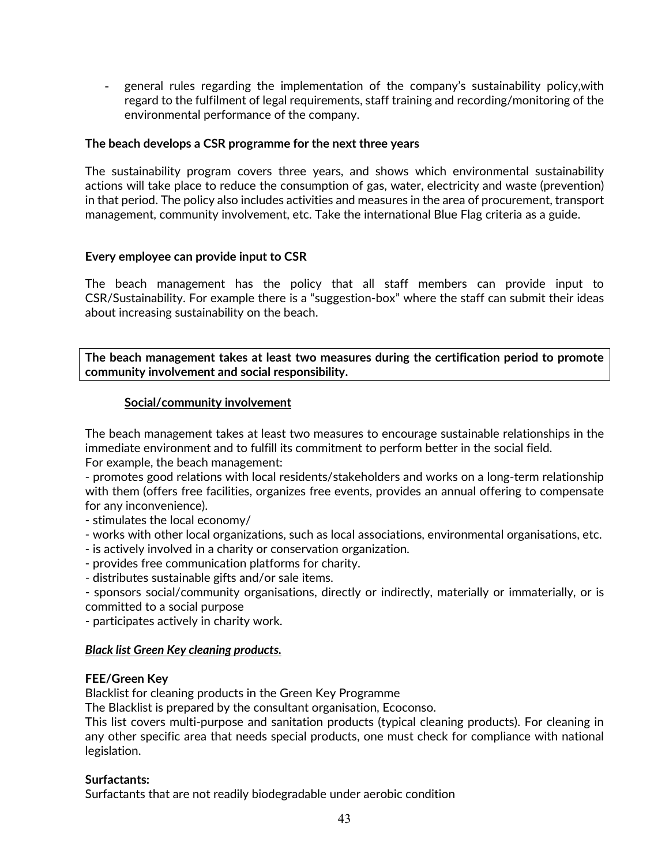- general rules regarding the implementation of the company's sustainability policy,with regard to the fulfilment of legal requirements, staff training and recording/monitoring of the environmental performance of the company.

## **The beach develops a CSR programme for the next three years**

The sustainability program covers three years, and shows which environmental sustainability actions will take place to reduce the consumption of gas, water, electricity and waste (prevention) in that period. The policy also includes activities and measures in the area of procurement, transport management, community involvement, etc. Take the international Blue Flag criteria as a guide.

## **Every employee can provide input to CSR**

The beach management has the policy that all staff members can provide input to CSR/Sustainability. For example there is a "suggestion-box" where the staff can submit their ideas about increasing sustainability on the beach.

**The beach management takes at least two measures during the certification period to promote community involvement and social responsibility.** 

## **Social/community involvement**

The beach management takes at least two measures to encourage sustainable relationships in the immediate environment and to fulfill its commitment to perform better in the social field. For example, the beach management:

- promotes good relations with local residents/stakeholders and works on a long-term relationship with them (offers free facilities, organizes free events, provides an annual offering to compensate for any inconvenience).

- stimulates the local economy/

- works with other local organizations, such as local associations, environmental organisations, etc.
- is actively involved in a charity or conservation organization.
- provides free communication platforms for charity.
- distributes sustainable gifts and/or sale items.
- sponsors social/community organisations, directly or indirectly, materially or immaterially, or is committed to a social purpose

- participates actively in charity work.

## *Black list Green Key cleaning products.*

## **FEE/Green Key**

Blacklist for cleaning products in the Green Key Programme

The Blacklist is prepared by the consultant organisation, Ecoconso.

This list covers multi-purpose and sanitation products (typical cleaning products). For cleaning in any other specific area that needs special products, one must check for compliance with national legislation.

## **Surfactants:**

Surfactants that are not readily biodegradable under aerobic condition